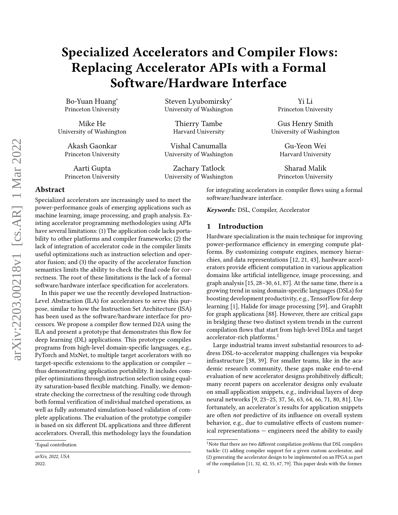# Specialized Accelerators and Compiler Flows: Replacing Accelerator APIs with a Formal Software/Hardware Interface

Bo-Yuan Huang<sup>∗</sup> Princeton University

Mike He University of Washington

Akash Gaonkar Princeton University

Aarti Gupta Princeton University

# Steven Lyubomirsky<sup>∗</sup> University of Washington

Thierry Tambe Harvard University

Vishal Canumalla University of Washington

Zachary Tatlock University of Washington

Yi Li Princeton University

Gus Henry Smith University of Washington

> Gu-Yeon Wei Harvard University

Sharad Malik Princeton University

# Abstract

Specialized accelerators are increasingly used to meet the power-performance goals of emerging applications such as machine learning, image processing, and graph analysis. Existing accelerator programming methodologies using APIs have several limitations: (1) The application code lacks portability to other platforms and compiler frameworks; (2) the lack of integration of accelerator code in the compiler limits useful optimizations such as instruction selection and operator fusion; and (3) the opacity of the accelerator function semantics limits the ability to check the final code for correctness. The root of these limitations is the lack of a formal software/hardware interface specification for accelerators.

In this paper we use the recently developed Instruction-Level Abstraction (ILA) for accelerators to serve this purpose, similar to how the Instruction Set Architecture (ISA) has been used as the software/hardware interface for processors. We propose a compiler flow termed D2A using the ILA and present a prototype that demonstrates this flow for deep learning (DL) applications. This prototype compiles programs from high-level domain-specific languages, e.g., PyTorch and MxNet, to multiple target accelerators with no target-specific extensions to the application or compiler thus demonstrating application portability. It includes compiler optimizations through instruction selection using equality saturation-based flexible matching. Finally, we demonstrate checking the correctness of the resulting code through both formal verification of individual matched operations, as well as fully automated simulation-based validation of complete applications. The evaluation of the prototype compiler is based on six different DL applications and three different accelerators. Overall, this methodology lays the foundation

for integrating accelerators in compiler flows using a formal software/hardware interface.

Keywords: DSL, Compiler, Accelerator

# 1 Introduction

Hardware specialization is the main technique for improving power-performance efficiency in emerging compute platforms. By customizing compute engines, memory hierarchies, and data representations [\[12,](#page-12-0) [21,](#page-13-0) [43\]](#page-14-0), hardware accelerators provide efficient computation in various application domains like artificial intelligence, image processing, and graph analysis [\[15,](#page-12-1) [28–](#page-13-1)[30,](#page-13-2) [61,](#page-15-0) [87\]](#page-16-0). At the same time, there is a growing trend in using domain-specific languages (DSLs) for boosting development productivity, e.g., TensorFlow for deep learning [\[1\]](#page-12-2), Halide for image processing [\[59\]](#page-14-1), and GraphIt for graph applications [\[88\]](#page-16-1). However, there are critical gaps in bridging these two distinct system trends in the current compilation flows that start from high-level DSLs and target accelerator-rich platforms.[1](#page-0-0)

Large industrial teams invest substantial resources to address DSL-to-accelerator mapping challenges via bespoke infrastructure [\[38,](#page-13-3) [39\]](#page-13-4). For smaller teams, like in the academic research community, these gaps make end-to-end evaluation of new accelerator designs prohibitively difficult; many recent papers on accelerator designs only evaluate on small application snippets, e.g., individual layers of deep neural networks [\[9,](#page-12-3) [23–](#page-13-5)[25,](#page-13-6) [37,](#page-13-7) [56,](#page-14-2) [63,](#page-15-1) [64,](#page-15-2) [66,](#page-15-3) [71,](#page-15-4) [80,](#page-15-5) [81\]](#page-15-6). Unfortunately, an accelerator's results for application snippets are often not predictive of its influence on overall system behavior, e.g., due to cumulative effects of custom numerical representations — engineers need the ability to easily

<sup>∗</sup>Equal contribution

arXiv, 2022, USA 2022.

<span id="page-0-0"></span> $1$ Note that there are two different compilation problems that DSL compilers tackle: (1) adding compiler support for a given custom accelerator, and (2) generating the accelerator design to be implemented on an FPGA as part of the compilation [\[11,](#page-12-4) [32,](#page-13-8) [42,](#page-14-3) [55,](#page-14-4) [67,](#page-15-7) [79\]](#page-15-8). This paper deals with the former.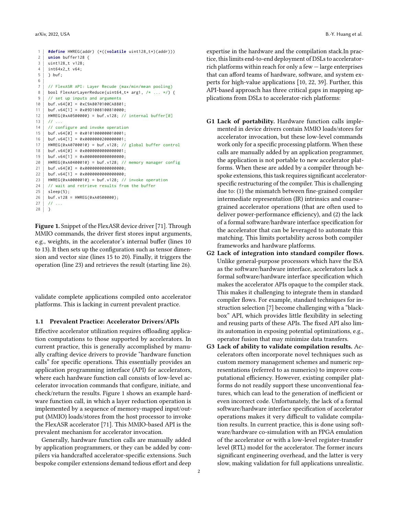2 **union** buffer128 { 3 | uint128 t v128:  $4 \mid int64x2 \mid v64$ : 5 } buf; 6 7 // FlexASR API: Layer Recude (max/min/mean pooling) 8 | bool FlexAsrLayerReduce(uint64\_t\* arg1, /\* ... \*/) { 9 | // set up inputs and arguments 10 buf.v64[0] = 0xC9A8070100CA8801; 11 | buf.v64[1] =  $0 \times 09D1008100810000$ ; 12 HWREG(0xA0500000) = buf.v128; // internal buffer[0]  $13$  // ... 14 // configure and invoke operation  $15$  buf.v64[0] = 0x0101000000010001:  $16$  buf.v64[1] = 0x0000000200000001; 17 HWREG(0xA0700010) = buf.v128; // global buffer control 18 buf.v64[0] = 0x0000000000000001;  $19$  buf.v64[1] = 0x0000000000000000; 20 HWREG(0xA0400010) = buf.v128; // memory manager config  $21$  buf.v64[0] = 0x00000000000000000;  $22$  buf v64[1] = 0x0000000000000000000 23 HWREG(0xA0000010) = buf.v128; // invoke operation  $24$  // wait and retrieve results from the buffer  $25$  sleep(5): 26 buf.v128 = HWREG(0xA0500000);  $27$  |  $11$  ... 28 }

<span id="page-1-0"></span>1 **#define** HWREG(addr) (\*((**volatile** uint128\_t\*)(addr)))

Figure 1. Snippet of the FlexASR device driver [\[71\]](#page-15-4). Through MMIO commands, the driver first stores input arguments, e.g., weights, in the accelerator's internal buffer (lines 10 to 13). It then sets up the configuration such as tensor dimension and vector size (lines 15 to 20). Finally, it triggers the operation (line 23) and retrieves the result (starting line 26).

validate complete applications compiled onto accelerator platforms. This is lacking in current prevalent practice.

# 1.1 Prevalent Practice: Accelerator Drivers/APIs

Effective accelerator utilization requires offloading application computations to those supported by accelerators. In current practice, this is generally accomplished by manually crafting device drivers to provide "hardware function calls" for specific operations. This essentially provides an application programming interface (API) for accelerators, where each hardware function call consists of low-level accelerator invocation commands that configure, initiate, and check/return the results. Figure [1](#page-1-0) shows an example hardware function call, in which a layer reduction operation is implemented by a sequence of memory-mapped input/output (MMIO) loads/stores from the host processor to invoke the FlexASR accelerator [\[71\]](#page-15-4). This MMIO-based API is the prevalent mechanism for accelerator invocation.

Generally, hardware function calls are manually added by application programmers, or they can be added by compilers via handcrafted accelerator-specific extensions. Such bespoke compiler extensions demand tedious effort and deep

expertise in the hardware and the compilation stack.In practice, this limits end-to-end deployment of DSLs to acceleratorrich platforms within reach for only a few — large enterprises that can afford teams of hardware, software, and system experts for high-value applications [\[10,](#page-12-5) [22,](#page-13-9) [39\]](#page-13-4). Further, this API-based approach has three critical gaps in mapping applications from DSLs to accelerator-rich platforms:

- <span id="page-1-1"></span>G1 Lack of portability. Hardware function calls implemented in device drivers contain MMIO loads/stores for accelerator invocation, but these low-level commands work only for a specific processing platform. When these calls are manually added by an application programmer, the application is not portable to new accelerator platforms. When these are added by a compiler through bespoke extensions, this task requires significant acceleratorspecific restructuring of the compiler. This is challenging due to: (1) the mismatch between fine-grained compiler intermediate representation (IR) intrinsics and coarse– grained accelerator operations (that are often used to deliver power-performance efficiency), and (2) the lack of a formal software/hardware interface specification for the accelerator that can be leveraged to automate this matching. This limits portability across both compiler frameworks and hardware platforms.
- <span id="page-1-2"></span>G2 Lack of integration into standard compiler flows. Unlike general-purpose processors which have the ISA as the software/hardware interface, accelerators lack a formal software/hardware interface specification which makes the accelerator APIs opaque to the compiler stack. This makes it challenging to integrate them in standard compiler flows. For example, standard techniques for instruction selection [\[7\]](#page-12-6) become challenging with a "blackbox" API, which provides little flexibility in selecting and reusing parts of these APIs. The fixed API also limits automation in exposing potential optimizations, e.g., operator fusion that may minimize data transfers.
- <span id="page-1-3"></span>G3 Lack of ability to validate compilation results. Accelerators often incorporate novel techniques such as custom memory management schemes and numeric representations (referred to as numerics) to improve computational efficiency. However, existing compiler platforms do not readily support these unconventional features, which can lead to the generation of inefficient or even incorrect code. Unfortunately, the lack of a formal software/hardware interface specification of accelerator operations makes it very difficult to validate compilation results. In current practice, this is done using software/hardware co-simulation with an FPGA emulation of the accelerator or with a low-level register-transfer level (RTL) model for the accelerator. The former incurs significant engineering overhead, and the latter is very slow, making validation for full applications unrealistic.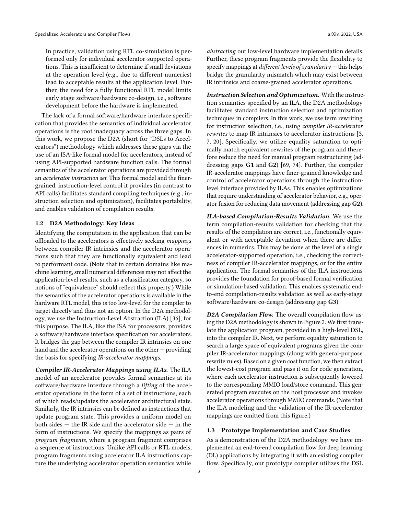In practice, validation using RTL co-simulation is performed only for individual accelerator-supported operations. This is insufficient to determine if small deviations at the operation level (e.g., due to different numerics) lead to acceptable results at the application level. Further, the need for a fully functional RTL model limits early stage software/hardware co-design, i.e., software development before the hardware is implemented.

The lack of a formal software/hardware interface specification that provides the semantics of individual accelerator operations is the root inadequacy across the three gaps. In this work, we propose the D2A (short for "DSLs to Accelerators") methodology which addresses these gaps via the use of an ISA-like formal model for accelerators, instead of using API-supported hardware function calls. The formal semantics of the accelerator operations are provided through an accelerator instruction set. This formal model and the finergrained, instruction-level control it provides (in contrast to API calls) facilitates standard compiling techniques (e.g., instruction selection and optimization), facilitates portability, and enables validation of compilation results.

#### 1.2 D2A Methodology: Key Ideas

Identifying the computation in the application that can be offloaded to the accelerators is effectively seeking mappings between compiler IR intrinsics and the accelerator operations such that they are functionally equivalent and lead to performant code. (Note that in certain domains like machine learning, small numerical differences may not affect the application-level results, such as a classification category, so notions of "equivalence" should reflect this property.) While the semantics of the accelerator operations is available in the hardware RTL model, this is too low-level for the compiler to target directly and thus not an option. In the D2A methodology, we use the Instruction-Level Abstraction (ILA) [\[36\]](#page-13-10), for this purpose. The ILA, like the ISA for processors, provides a software/hardware interface specification for accelerators. It bridges the gap between the compiler IR intrinsics on one hand and the accelerator operations on the other — providing the basis for specifying IR-accelerator mappings.

Compiler IR-Accelerator Mappings using ILAs. The ILA model of an accelerator provides formal semantics at its software/hardware interface through a lifting of the accelerator operations in the form of a set of instructions, each of which reads/updates the accelerator architectural state. Similarly, the IR intrinsics can be defined as instructions that update program state. This provides a uniform model on both sides  $-$  the IR side and the accelerator side  $-$  in the form of instructions. We specify the mappings as pairs of program fragments, where a program fragment comprises a sequence of instructions. Unlike API calls or RTL models, program fragments using accelerator ILA instructions capture the underlying accelerator operation semantics while

abstracting out low-level hardware implementation details. Further, these program fragments provide the flexibility to specify mappings at *different levels of granularity*  $-$  this helps bridge the granularity mismatch which may exist between IR intrinsics and coarse-grained accelerator operations.

Instruction Selection and Optimization. With the instruction semantics specified by an ILA, the D2A methodology facilitates standard instruction selection and optimization techniques in compilers. In this work, we use term rewriting for instruction selection, i.e., using compiler IR-accelerator rewrites to map IR intrinsics to accelerator instructions [\[3,](#page-12-7) [7,](#page-12-6) [20\]](#page-13-11). Specifically, we utilize equality saturation to optimally match equivalent rewrites of the program and therefore reduce the need for manual program restructuring (addressing gaps [G1](#page-1-1) and [G2](#page-1-2)) [\[69,](#page-15-9) [74\]](#page-15-10). Further, the compiler IR-accelerator mappings have finer-grained knowledge and control of accelerator operations through the instructionlevel interface provided by ILAs. This enables optimizations that require understanding of accelerator behavior, e.g., operator fusion for reducing data movement (addressing gap [G2](#page-1-2)).

ILA-based Compilation-Results Validation. We use the term compilation-results validation for checking that the results of the compilation are correct, i.e., functionally equivalent or with acceptable deviation when there are differences in numerics. This may be done at the level of a single accelerator-supported operation, i.e., checking the correctness of compiler IR-accelerator mappings, or for the entire application. The formal semantics of the ILA instructions provides the foundation for proof-based formal verification or simulation-based validation. This enables systematic endto-end compilation-results validation as well as early-stage software/hardware co-design (addressing gap [G3](#page-1-3)).

D2A Compilation Flow. The overall compilation flow using the D2A methodology is shown in Figure [2.](#page-3-0) We first translate the application program, provided in a high-level DSL, into the compiler IR. Next, we perform equality saturation to search a large space of equivalent programs given the compiler IR-accelerator mappings (along with general-purpose rewrite rules). Based on a given cost function, we then extract the lowest-cost program and pass it on for code generation, where each accelerator instruction is subsequently lowered to the corresponding MMIO load/store command. This generated program executes on the host processor and invokes accelerator operations through MMIO commands. (Note that the ILA modeling and the validation of the IR-accelerator mappings are omitted from this figure.)

# 1.3 Prototype Implementation and Case Studies

As a demonstration of the D2A methodology, we have implemented an end-to-end compilation flow for deep learning (DL) applications by integrating it with an existing compiler flow. Specifically, our prototype compiler utilizes the DSL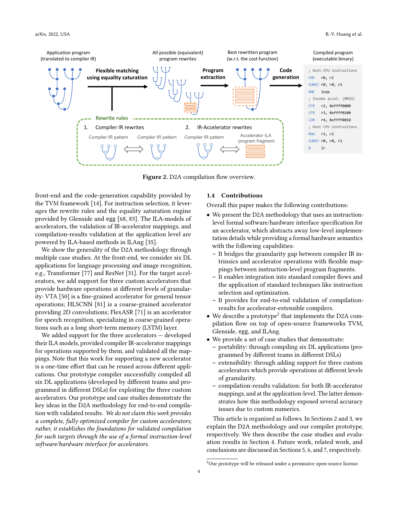<span id="page-3-0"></span>

Figure 2. D2A compilation flow overview.

front-end and the code-generation capability provided by the TVM framework [\[14\]](#page-12-8). For instruction selection, it leverages the rewrite rules and the equality saturation engine provided by Glenside and egg [\[68,](#page-15-11) [83\]](#page-16-2). The ILA-models of accelerators, the validation of IR-accelerator mappings, and compilation-results validation at the application level are powered by ILA-based methods in ILAng [\[35\]](#page-13-12).

We show the generality of the D2A methodology through multiple case studies. At the front-end, we consider six DL applications for language processing and image recognition, e.g., Transformer [\[77\]](#page-15-12) and ResNet [\[31\]](#page-13-13). For the target accelerators, we add support for three custom accelerators that provide hardware operations at different levels of granularity: VTA [\[50\]](#page-14-5) is a fine-grained accelerator for general tensor operations; HLSCNN [\[81\]](#page-15-6) is a coarse-grained accelerator providing 2D convolutions; FlexASR [\[71\]](#page-15-4) is an accelerator for speech recognition, specializing in coarse-grained operations such as a long short-term memory (LSTM) layer.

We added support for the three accelerators — developed their ILA models, provided compiler IR-accelerator mappings for operations supported by them, and validated all the mappings. Note that this work for supporting a new accelerator is a one-time effort that can be reused across different applications. Our prototype compiler successfully compiled all six DL applications (developed by different teams and programmed in different DSLs) for exploiting the three custom accelerators. Our prototype and case studies demonstrate the key ideas in the D2A methodology for end-to-end compilation with validated results. We do not claim this work provides a complete, fully optimized compiler for custom accelerators; rather, it establishes the foundations for validated compilation for such targets through the use of a formal instruction-level software/hardware interface for accelerators.

#### 1.4 Contributions

Overall this paper makes the following contributions:

- We present the D2A methodology that uses an instructionlevel formal software/hardware interface specification for an accelerator, which abstracts away low-level implementation details while providing a formal hardware semantics with the following capabilities:
	- It bridges the granularity gap between compiler IR intrinsics and accelerator operations with flexible mappings between instruction-level program fragments.
	- It enables integration into standard compiler flows and the application of standard techniques like instruction selection and optimization.
	- It provides for end-to-end validation of compilationresults for accelerator-extensible compilers.
- $\bullet$  We describe a prototype<sup>[2](#page-3-1)</sup> that implements the D2A compilation flow on top of open-source frameworks TVM, Glenside, egg, and ILAng.
- We provide a set of case studies that demonstrate:
	- portability: through compiling six DL applications (programmed by different teams in different DSLs)
	- extensibility: through adding support for three custom accelerators which provide operations at different levels of granularity.
	- compilation-results validation: for both IR-accelerator mappings, and at the application-level. The latter demonstrates how this methodology exposed several accuracy issues due to custom numerics.

This article is organized as follows. In Sections [2](#page-4-0) and [3,](#page-6-0) we explain the D2A methodology and our compiler prototype, respectively. We then describe the case studies and evaluation results in Section [4.](#page-6-1) Future work, related work, and conclusions are discussed in Sections [5,](#page-10-0) [6,](#page-11-0) and [7,](#page-11-1) respectively.

<span id="page-3-1"></span> $2$ Our prototype will be released under a permissive open-source license.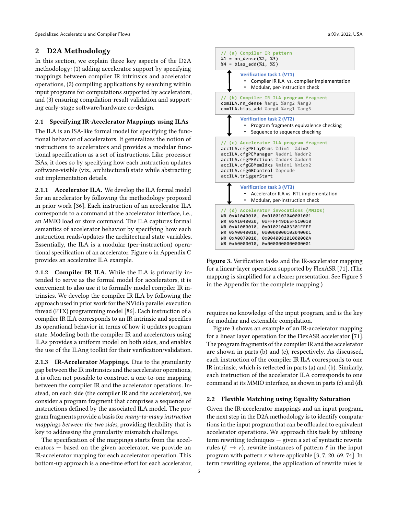# <span id="page-4-0"></span>2 D2A Methodology

In this section, we explain three key aspects of the D2A methodology: (1) adding accelerator support by specifying mappings between compiler IR intrinsics and accelerator operations, (2) compiling applications by searching within input programs for computations supported by accelerators, and (3) ensuring compilation-result validation and supporting early-stage software/hardware co-design.

## 2.1 Specifying IR-Accelerator Mappings using ILAs

The ILA is an ISA-like formal model for specifying the functional behavior of accelerators. It generalizes the notion of instructions to accelerators and provides a modular functional specification as a set of instructions. Like processor ISAs, it does so by specifying how each instruction updates software-visible (viz., architectural) state while abstracting out implementation details.

2.1.1 Accelerator ILA. We develop the ILA formal model for an accelerator by following the methodology proposed in prior work [\[36\]](#page-13-10). Each instruction of an accelerator ILA corresponds to a command at the accelerator interface, i.e., an MMIO load or store command. The ILA captures formal semantics of accelerator behavior by specifying how each instruction reads/updates the architectural state variables. Essentially, the ILA is a modular (per-instruction) operational specification of an accelerator. Figure [6](#page-19-0) in Appendix [C](#page-17-0) provides an accelerator ILA example.

2.1.2 Compiler IR ILA. While the ILA is primarily intended to serve as the formal model for accelerators, it is convenient to also use it to formally model compiler IR intrinsics. We develop the compiler IR ILA by following the approach used in prior work for the NVidia parallel execution thread (PTX) programming model [\[86\]](#page-16-3). Each instruction of a compiler IR ILA corresponds to an IR intrinsic and specifies its operational behavior in terms of how it updates program state. Modeling both the compiler IR and accelerators using ILAs provides a uniform model on both sides, and enables the use of the ILAng toolkit for their verification/validation.

2.1.3 IR-Accelerator Mappings. Due to the granularity gap between the IR instrinsics and the accelerator operations, it is often not possible to construct a one-to-one mapping between the compiler IR and the accelerator operations. Instead, on each side (the compiler IR and the accelerator), we consider a program fragment that comprises a sequence of instructions defined by the associated ILA model. The program fragments provide a basis for many-to-many instruction mappings between the two sides, providing flexibility that is key to addressing the granularity mismatch challenge.

The specification of the mappings starts from the accelerators — based on the given accelerator, we provide an IR-accelerator mapping for each accelerator operation. This bottom-up approach is a one-time effort for each accelerator,

<span id="page-4-1"></span>

Figure 3. Verification tasks and the IR-accelerator mapping for a linear-layer operation supported by FlexASR [\[71\]](#page-15-4). (The mapping is simplified for a clearer presentation. See Figure [5](#page-18-0) in the Appendix for the complete mapping.)

requires no knowledge of the input program, and is the key for modular and extensible compilation.

Figure [3](#page-4-1) shows an example of an IR-accelerator mapping for a linear layer operation for the FlexASR accelerator [\[71\]](#page-15-4). The program fragments of the compiler IR and the accelerator are shown in parts (b) and (c), respectively. As discussed, each instruction of the compiler IR ILA corresponds to one IR intrinsic, which is reflected in parts (a) and (b). Similarly, each instruction of the accelerator ILA corresponds to one command at its MMIO interface, as shown in parts (c) and (d).

#### <span id="page-4-2"></span>2.2 Flexible Matching using Equality Saturation

Given the IR-accelerator mappings and an input program, the next step in the D2A methodology is to identify computations in the input program that can be offloaded to equivalent accelerator operations. We approach this task by utilizing term rewriting techniques — given a set of syntactic rewrite rules ( $\ell \rightarrow r$ ), rewrite instances of pattern  $\ell$  in the input program with pattern  $r$  where applicable [\[3,](#page-12-7) [7,](#page-12-6) [20,](#page-13-11) [69,](#page-15-9) [74\]](#page-15-10). In term rewriting systems, the application of rewrite rules is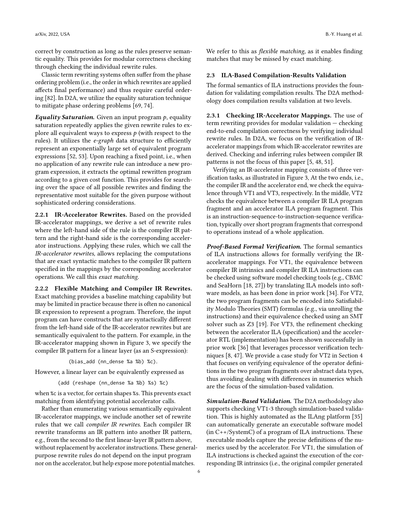correct by construction as long as the rules preserve semantic equality. This provides for modular correctness checking through checking the individual rewrite rules.

Classic term rewriting systems often suffer from the phase ordering problem (i.e., the order in which rewrites are applied affects final performance) and thus require careful ordering [\[82\]](#page-16-4). In D2A, we utilize the equality saturation technique to mitigate phase ordering problems [\[69,](#page-15-9) [74\]](#page-15-10).

Equality Saturation. Given an input program  $p$ , equality saturation repeatedly applies the given rewrite rules to explore all equivalent ways to express  $p$  (with respect to the rules). It utilizes the *e-graph* data structure to efficiently represent an exponentially large set of equivalent program expressions [\[52,](#page-14-6) [53\]](#page-14-7). Upon reaching a fixed point, i.e., when no application of any rewrite rule can introduce a new program expression, it extracts the optimal rewritten program according to a given cost function. This provides for searching over the space of all possible rewrites and finding the representative most suitable for the given purpose without sophisticated ordering considerations.

2.2.1 IR-Accelerator Rewrites. Based on the provided IR-accelerator mappings, we derive a set of rewrite rules where the left-hand side of the rule is the compiler IR pattern and the right-hand side is the corresponding accelerator instructions. Applying these rules, which we call the IR-accelerator rewrites, allows replacing the computations that are exact syntactic matches to the compiler IR pattern specified in the mappings by the corresponding accelerator operations. We call this exact matching.

2.2.2 Flexible Matching and Compiler IR Rewrites. Exact matching provides a baseline matching capability but may be limited in practice because there is often no canonical IR expression to represent a program. Therefore, the input program can have constructs that are syntactically different from the left-hand side of the IR-accelerator rewrites but are semantically equivalent to the pattern. For example, in the IR-accelerator mapping shown in Figure [3,](#page-4-1) we specify the compiler IR pattern for a linear layer (as an S-expression):

(bias\_add (nn\_dense %a %b) %c).

However, a linear layer can be equivalently expressed as

(add (reshape (nn\_dense %a %b) %s) %c)

when %c is a vector, for certain shapes %s. This prevents exact matching from identifying potential accelerator calls.

Rather than enumerating various semantically equivalent IR-accelerator mappings, we include another set of rewrite rules that we call compiler IR rewrites. Each compiler IR rewrite transforms an IR pattern into another IR pattern, e.g., from the second to the first linear-layer IR pattern above, without replacement by accelerator instructions. These generalpurpose rewrite rules do not depend on the input program nor on the accelerator, but help expose more potential matches.

We refer to this as *flexible matching*, as it enables finding matches that may be missed by exact matching.

#### 2.3 ILA-Based Compilation-Results Validation

The formal semantics of ILA instructions provides the foundation for validating compilation results. The D2A methodology does compilation results validation at two levels.

<span id="page-5-0"></span>2.3.1 Checking IR-Accelerator Mappings. The use of term rewriting provides for modular validation — checking end-to-end compilation correctness by verifying individual rewrite rules. In D2A, we focus on the verification of IRaccelerator mappings from which IR-accelerator rewrites are derived. Checking and inferring rules between compiler IR patterns is not the focus of this paper [\[5,](#page-12-9) [48,](#page-14-8) [51\]](#page-14-9).

Verifying an IR-accelerator mapping consists of three verification tasks, as illustrated in Figure [3,](#page-4-1) At the two ends, i.e., the compiler IR and the accelerator end, we check the equivalence through VT1 and VT3, respectively. In the middle, VT2 checks the equivalence between a compiler IR ILA program fragment and an accelerator ILA program fragment. This is an instruction-sequence-to-instruction-sequence verification, typically over short program fragments that correspond to operations instead of a whole application.

Proof-Based Formal Verification. The formal semantics of ILA instructions allows for formally verifying the IRaccelerator mappings. For VT1, the equivalence between compiler IR intrinsics and compiler IR ILA instructions can be checked using software model checking tools (e.g., CBMC and SeaHorn [\[18,](#page-12-10) [27\]](#page-13-14)) by translating ILA models into software models, as has been done in prior work [\[34\]](#page-13-15). For VT2, the two program fragments can be encoded into Satisfiability Modulo Theories (SMT) formulas (e.g., via unrolling the instructions) and their equivalence checked using an SMT solver such as Z3 [\[19\]](#page-12-11). For VT3, the refinement checking between the accelerator ILA (specification) and the accelerator RTL (implementation) has been shown successfully in prior work [\[36\]](#page-13-10) that leverages processor verification techniques [\[8,](#page-12-12) [47\]](#page-14-10). We provide a case study for VT2 in Section [4](#page-6-1) that focuses on verifying equivalence of the operator definitions in the two program fragments over abstract data types, thus avoiding dealing with differences in numerics which are the focus of the simulation-based validation.

Simulation-Based Validation. The D2A methodology also supports checking VT1-3 through simulation-based validation. This is highly automated as the ILAng platform [\[35\]](#page-13-12) can automatically generate an executable software model (in C++/SystemC) of a program of ILA instructions. These executable models capture the precise definitions of the numerics used by the accelerator. For VT1, the simulation of ILA instructions is checked against the execution of the corresponding IR intrinsics (i.e., the original compiler generated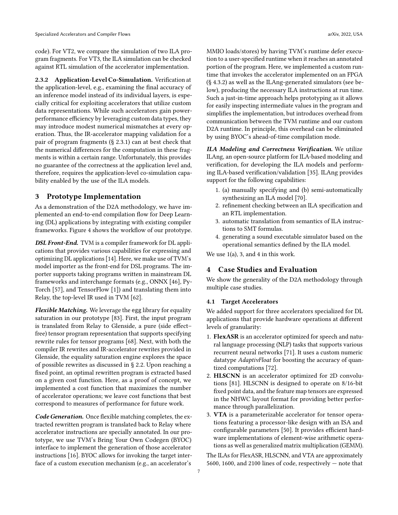code). For VT2, we compare the simulation of two ILA program fragments. For VT3, the ILA simulation can be checked against RTL simulation of the accelerator implementation.

2.3.2 Application-Level Co-Simulation. Verification at the application-level, e.g., examining the final accuracy of an inference model instead of its individual layers, is especially critical for exploiting accelerators that utilize custom data representations. While such accelerators gain powerperformance efficiency by leveraging custom data types, they may introduce modest numerical mismatches at every operation. Thus, the IR-accelerator mapping validation for a pair of program fragments (§ [2.3.1\)](#page-5-0) can at best check that the numerical differences for the computation in these fragments is within a certain range. Unfortunately, this provides no guarantee of the correctness at the application level and, therefore, requires the application-level co-simulation capability enabled by the use of the ILA models.

# <span id="page-6-0"></span>3 Prototype Implementation

As a demonstration of the D2A methodology, we have implemented an end-to-end compilation flow for Deep Learning (DL) applications by integrating with existing compiler frameworks. Figure [4](#page-7-0) shows the workflow of our prototype.

DSL Front-End. TVM is a compiler framework for DL applications that provides various capabilities for expressing and optimizing DL applications [\[14\]](#page-12-8). Here, we make use of TVM's model importer as the front-end for DSL programs. The importer supports taking programs written in mainstream DL frameworks and interchange formats (e.g., ONNX [\[46\]](#page-14-11), Py-Torch [\[57\]](#page-14-12), and TensorFlow [\[1\]](#page-12-2)) and translating them into Relay, the top-level IR used in TVM [\[62\]](#page-15-13).

Flexible Matching. We leverage the egg library for equality saturation in our prototype [\[83\]](#page-16-2). First, the input program is translated from Relay to Glenside, a pure (side effect– free) tensor program representation that supports specifying rewrite rules for tensor programs [\[68\]](#page-15-11). Next, with both the compiler IR rewrites and IR-accelerator rewrites provided in Glenside, the equality saturation engine explores the space of possible rewrites as discussed in § [2.2.](#page-4-2) Upon reaching a fixed point, an optimal rewritten program is extracted based on a given cost function. Here, as a proof of concept, we implemented a cost function that maximizes the number of accelerator operations; we leave cost functions that best correspond to measures of performance for future work.

Code Generation. Once flexible matching completes, the extracted rewritten program is translated back to Relay where accelerator instructions are specially annotated. In our prototype, we use TVM's Bring Your Own Codegen (BYOC) interface to implement the generation of those accelerator instructions [\[16\]](#page-12-13). BYOC allows for invoking the target interface of a custom execution mechanism (e.g., an accelerator's

MMIO loads/stores) by having TVM's runtime defer execution to a user-specified runtime when it reaches an annotated portion of the program. Here, we implemented a custom runtime that invokes the accelerator implemented on an FPGA (§ [4.3.2\)](#page-8-0) as well as the ILAng-generated simulators (see below), producing the necessary ILA instructions at run time. Such a just-in-time approach helps prototyping as it allows for easily inspecting intermediate values in the program and simplifies the implementation, but introduces overhead from communication between the TVM runtime and our custom D2A runtime. In principle, this overhead can be eliminated by using BYOC's ahead-of-time compilation mode.

ILA Modeling and Correctness Verification. We utilize ILAng, an open-source platform for ILA-based modeling and verification, for developing the ILA models and performing ILA-based verification/validation [\[35\]](#page-13-12). ILAng provides support for the following capabilities:

- 1. (a) manually specifying and (b) semi-automatically synthesizing an ILA model [\[70\]](#page-15-14).
- 2. refinement checking between an ILA specification and an RTL implementation.
- 3. automatic translation from semantics of ILA instructions to SMT formulas.
- 4. generating a sound executable simulator based on the operational semantics defined by the ILA model.

We use  $1(a)$ , 3, and 4 in this work.

# <span id="page-6-1"></span>4 Case Studies and Evaluation

We show the generality of the D2A methodology through multiple case studies.

#### <span id="page-6-2"></span>4.1 Target Accelerators

We added support for three accelerators specialized for DL applications that provide hardware operations at different levels of granularity:

- 1. FlexASR is an accelerator optimized for speech and natural language processing (NLP) tasks that supports various recurrent neural networks [\[71\]](#page-15-4). It uses a custom numeric datatype AdaptivFloat for boosting the accuracy of quantized computations [\[72\]](#page-15-15).
- 2. HLSCNN is an accelerator optimized for 2D convolutions [\[81\]](#page-15-6). HLSCNN is designed to operate on 8/16-bit fixed point data, and the feature map tensors are expressed in the NHWC layout format for providing better performance through parallelization.
- 3. VTA is a parameterizable accelerator for tensor operations featuring a processor-like design with an ISA and configurable parameters [\[50\]](#page-14-5). It provides efficient hardware implementations of element-wise arithmetic operations as well as generalized matrix multiplication (GEMM).

The ILAs for FlexASR, HLSCNN, and VTA are approximately 5600, 1600, and 2100 lines of code, respectively — note that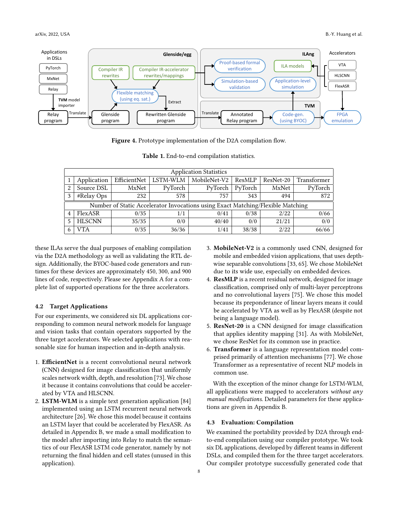<span id="page-7-0"></span>

Figure 4. Prototype implementation of the D2A compilation flow.

<span id="page-7-1"></span>

| <b>Application Statistics</b>                                                   |               |              |          |              |         |           |             |  |  |
|---------------------------------------------------------------------------------|---------------|--------------|----------|--------------|---------|-----------|-------------|--|--|
|                                                                                 | Application   | EfficientNet | LSTM-WLM | MobileNet-V2 | ResMLP  | ResNet-20 | Transformer |  |  |
| 2                                                                               | Source DSL    | MxNet        | PyTorch  | PyTorch      | PyTorch | MxNet     | PyTorch     |  |  |
| 3                                                                               | #Relay Ops    | 232          | 578      | 757          | 343     | 494       | 872         |  |  |
| Number of Static Accelerator Invocations using Exact Matching/Flexible Matching |               |              |          |              |         |           |             |  |  |
| $\overline{4}$                                                                  | FlexASR       | 0/35         | 1/1      | 0/41         | 0/38    | 2/22      | 0/66        |  |  |
| 5                                                                               | <b>HLSCNN</b> | 35/35        | 0/0      | 40/40        | 0/0     | 21/21     | 0/0         |  |  |
|                                                                                 | VTA           | 0/35         | 36/36    | 1/41         | 38/38   | 2/22      | 66/66       |  |  |

|  |  |  |  |  |  |  | Table 1. End-to-end compilation statistics. |  |
|--|--|--|--|--|--|--|---------------------------------------------|--|
|--|--|--|--|--|--|--|---------------------------------------------|--|

these ILAs serve the dual purposes of enabling compilation via the D2A methodology as well as validating the RTL design. Additionally, the BYOC-based code generators and runtimes for these devices are approximately 450, 300, and 900 lines of code, respectively. Please see Appendix [A](#page-17-1) for a complete list of supported operations for the three accelerators.

#### <span id="page-7-2"></span>4.2 Target Applications

For our experiments, we considered six DL applications corresponding to common neural network models for language and vision tasks that contain operators supported by the three target accelerators. We selected applications with reasonable size for human inspection and in-depth analysis.

- 1. EfficientNet is a recent convolutional neural network (CNN) designed for image classification that uniformly scales network width, depth, and resolution [\[73\]](#page-15-16). We chose it because it contains convolutions that could be accelerated by VTA and HLSCNN.
- 2. LSTM-WLM is a simple text generation application [\[84\]](#page-16-5) implemented using an LSTM recurrent neural network architecture [\[26\]](#page-13-16). We chose this model because it contains an LSTM layer that could be accelerated by FlexASR. As detailed in Appendix [B,](#page-17-2) we made a small modification to the model after importing into Relay to match the semantics of our FlexASR LSTM code generator, namely by not returning the final hidden and cell states (unused in this application).
- 3. MobileNet-V2 is a commonly used CNN, designed for mobile and embedded vision applications, that uses depthwise separable convolutions [\[33,](#page-13-17) [65\]](#page-15-17). We chose MobileNet due to its wide use, especially on embedded devices.
- 4. ResMLP is a recent residual network, designed for image classification, comprised only of multi-layer perceptrons and no convolutional layers [\[75\]](#page-15-18). We chose this model because its preponderance of linear layers means it could be accelerated by VTA as well as by FlexASR (despite not being a language model).
- 5. ResNet-20 is a CNN designed for image classification that applies identity mapping [\[31\]](#page-13-13). As with MobileNet, we chose ResNet for its common use in practice.
- 6. Transformer is a language representation model comprised primarily of attention mechanisms [\[77\]](#page-15-12). We chose Transformer as a representative of recent NLP models in common use.

With the exception of the minor change for LSTM-WLM, all applications were mapped to accelerators without any manual modifications. Detailed parameters for these applications are given in Appendix [B.](#page-17-2)

## 4.3 Evaluation: Compilation

We examined the portability provided by D2A through endto-end compilation using our compiler prototype. We took six DL applications, developed by different teams in different DSLs, and compiled them for the three target accelerators. Our compiler prototype successfully generated code that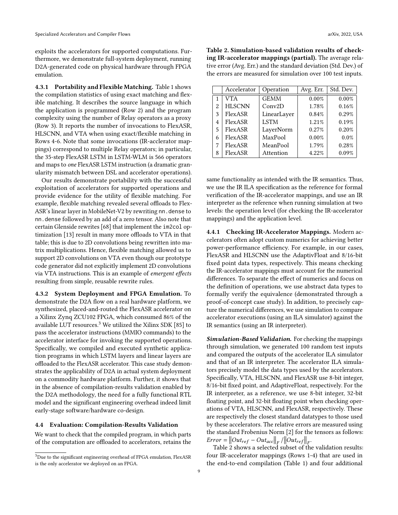exploits the accelerators for supported computations. Furthermore, we demonstrate full-system deployment, running D2A-generated code on physical hardware through FPGA emulation.

4.3.1 Portability and Flexible Matching. Table [1](#page-7-1) shows the compilation statistics of using exact matching and flexible matching. It describes the source language in which the application is programmed (Row 2) and the program complexity using the number of Relay operators as a proxy (Row 3). It reports the number of invocations to FlexASR, HLSCNN, and VTA when using exact/flexible matching in Rows 4-6. Note that some invocations (IR-acclerator mappings) correspond to multiple Relay operators; in particular, the 35-step FlexASR LSTM in LSTM-WLM is 566 operators and maps to one FlexASR LSTM instruction (a dramatic granularity mismatch between DSL and accelerator operations).

Our results demonstrate portability with the successful exploitation of accelerators for supported operations and provide evidence for the utility of flexible matching. For example, flexible matching revealed several offloads to Flex-ASR's linear layer in MobileNet-V2 by rewriting nn. dense to nn.dense followed by an add of a zero tensor. Also note that certain Glenside rewrites [\[68\]](#page-15-11) that implement the im2col optimization [\[13\]](#page-12-14) result in many more offloads to VTA in that table; this is due to 2D convolutions being rewritten into matrix multiplications. Hence, flexible matching allowed us to support 2D convolutions on VTA even though our prototype code generator did not explicitly implement 2D convolutions via VTA instructions. This is an example of emergent effects resulting from simple, reusable rewrite rules.

<span id="page-8-0"></span>4.3.2 System Deployment and FPGA Emulation. To demonstrate the D2A flow on a real hardware platform, we synthesized, placed-and-routed the FlexASR accelerator on a Xilinx Zynq ZCU102 FPGA, which consumed 86% of the available LUT resources.<sup>[3](#page-8-1)</sup> We utilized the Xilinx SDK [\[85\]](#page-16-6) to pass the accelerator instructions (MMIO commands) to the accelerator interface for invoking the supported operations. Specifically, we compiled and executed synthetic application programs in which LSTM layers and linear layers are offloaded to the FlexASR accelerator. This case study demonstrates the applicability of D2A in actual system deployment on a commodity hardware platform. Further, it shows that in the absence of compilation-results validation enabled by the D2A methodology, the need for a fully functional RTL model and the significant engineering overhead indeed limit early-stage software/hardware co-design.

#### 4.4 Evaluation: Compilation-Results Validation

We want to check that the compiled program, in which parts of the computation are offloaded to accelerators, retains the

<span id="page-8-2"></span>Table 2. Simulation-based validation results of checking IR-accelerator mappings (partial). The average relative error (Avg. Err.) and the standard deviation (Std. Dev.) of the errors are measured for simulation over 100 test inputs.

|   | Accelerator   | Operation           | Avg. Err. | Std. Dev. |
|---|---------------|---------------------|-----------|-----------|
| 1 | VTA           | <b>GEMM</b>         | 0.00%     | 0.00%     |
| 2 | <b>HLSCNN</b> | Conv <sub>2</sub> D | 1.78%     | 0.16%     |
| 3 | FlexASR       | LinearLayer         | 0.84%     | 0.29%     |
| 4 | FlexASR       | <b>LSTM</b>         | 1.21%     | 0.19%     |
| 5 | FlexASR       | LayerNorm           | 0.27%     | 0.20%     |
| 6 | FlexASR       | MaxPool             | 0.00%     | 0.0%      |
|   | FlexASR       | MeanPool            | 1.79%     | 0.28%     |
| 8 | FlexASR       | Attention           | 4.22%     | 0.09%     |

same functionality as intended with the IR semantics. Thus, we use the IR ILA specification as the reference for formal verification of the IR-accelerator mappings, and use an IR interpreter as the reference when running simulation at two levels: the operation level (for checking the IR-accelerator mappings) and the application level.

4.4.1 Checking IR-Accelerator Mappings. Modern accelerators often adopt custom numerics for achieving better power-performance efficiency. For example, in our cases, FlexASR and HLSCNN use the AdaptivFloat and 8/16-bit fixed point data types, respectively. This means checking the IR-accelerator mappings must account for the numerical differences. To separate the effect of numerics and focus on the definition of operations, we use abstract data types to formally verify the equivalence (demonstrated through a proof-of-concept case study). In addition, to precisely capture the numerical differences, we use simulation to compare accelerator executions (using an ILA simulator) against the IR semantics (using an IR interpreter).

Simulation-Based Validation. For checking the mappings through simulation, we generated 100 random test inputs and compared the outputs of the accelerator ILA simulator and that of an IR interpreter. The accelerator ILA simulators precisely model the data types used by the accelerators. Specifically, VTA, HLSCNN, and FlexASR use 8-bit integer, 8/16-bit fixed point, and AdaptiveFloat, respectively. For the IR interpreter, as a reference, we use 8-bit integer, 32-bit floating point, and 32-bit floating point when checking operations of VTA, HLSCNN, and FlexASR, respectively. These are respectively the closest standard datatypes to those used by these accelerators. The relative errors are measured using the standard Frobenius Norm [\[2\]](#page-12-15) for the tensors as follows:  $Error = ||Out_{ref} - Out_{acc}||_F / ||Out_{ref}||_F.$ 

Table [2](#page-8-2) shows a selected subset of the validation results: four IR-accelerator mappings (Rows 1-4) that are used in the end-to-end compilation (Table [1\)](#page-7-1) and four additional

<span id="page-8-1"></span> ${}^{3}$  Due to the significant engineering overhead of FPGA emulation, FlexASR is the only accelerator we deployed on an FPGA.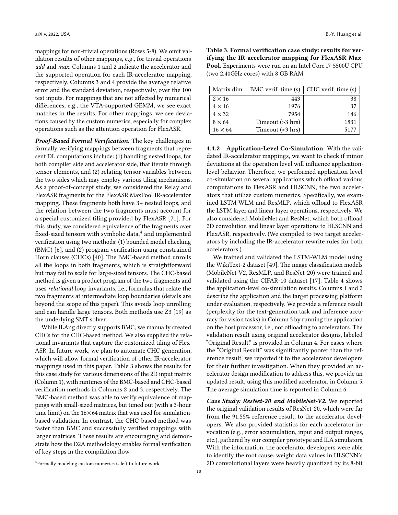mappings for non-trivial operations (Rows 5-8). We omit validation results of other mappings, e.g., for trivial operations add and max. Columns 1 and 2 indicate the accelerator and the supported operation for each IR-accelerator mapping, respectively. Columns 3 and 4 provide the average relative error and the standard deviation, respectively, over the 100 test inputs. For mappings that are not affected by numerical differences, e.g., the VTA-supported GEMM, we see exact matches in the results. For other mappings, we see deviations caused by the custom numerics, especially for complex operations such as the attention operation for FlexASR.

<span id="page-9-2"></span>Proof-Based Formal Verification. The key challenges in formally verifying mappings between fragments that represent DL computations include: (1) handling nested loops, for both compiler side and accelerator side, that iterate through tensor elements, and (2) relating tensor variables between the two sides which may employ various tiling mechanisms. As a proof-of-concept study, we considered the Relay and FlexASR fragments for the FlexASR MaxPool IR-accelerator mapping. These fragments both have 3+ nested loops, and the relation between the two fragments must account for a special customized tiling provided by FlexASR [\[71\]](#page-15-4). For this study, we considered equivalence of the fragments over fixed-sized tensors with symbolic data, $^4$  $^4$  and implemented verification using two methods: (1) bounded model checking (BMC) [\[6\]](#page-12-16), and (2) program verification using constrained Horn clauses (CHCs) [\[40\]](#page-14-13). The BMC-based method unrolls all the loops in both fragments, which is straightforward but may fail to scale for large-sized tensors. The CHC-based method is given a product program of the two fragments and uses relational loop invariants, i.e., formulas that relate the two fragments at intermediate loop boundaries (details are beyond the scope of this paper). This avoids loop unrolling and can handle large tensors. Both methods use Z3 [\[19\]](#page-12-11) as the underlying SMT solver.

While ILAng directly supports BMC, we manually created CHCs for the CHC-based method. We also supplied the relational invariants that capture the customized tiling of Flex-ASR. In future work, we plan to automate CHC generation, which will allow formal verification of other IR-accelerator mappings used in this paper. Table [3](#page-9-1) shows the results for this case study for various dimensions of the 2D input matrix (Column 1), with runtimes of the BMC-based and CHC-based verification methods in Columns 2 and 3, respectively. The BMC-based method was able to verify equivalence of mappings with small-sized matrices, but timed out (with a 3-hour time limit) on the  $16\times64$  matrix that was used for simulationbased validation. In contrast, the CHC-based method was faster than BMC and successfully verified mappings with larger matrices. These results are encouraging and demonstrate how the D2A methodology enables formal verification of key steps in the compilation flow.

<span id="page-9-1"></span>Table 3. Formal verification case study: results for verifying the IR-accelerator mapping for FlexASR Max-Pool. Experiments were run on an Intel Core i7-5500U CPU (two 2.40GHz cores) with 8 GB RAM.

| Matrix dim.    | BMC verif. time (s)    | CHC verif. time (s) |
|----------------|------------------------|---------------------|
| $2 \times 16$  | 443                    | 38                  |
| $4 \times 16$  | 1976                   | 37                  |
| $4 \times 32$  | 7954                   | 146                 |
| $8 \times 64$  | Timeout $($ >3 hrs $)$ | 1831                |
| $16 \times 64$ | Timeout (>3 hrs)       | 5177                |

4.4.2 Application-Level Co-Simulation. With the validated IR-accelerator mappings, we want to check if minor deviations at the operation level will influence applicationlevel behavior. Therefore, we performed application-level co-simulation on several applications which offload various computations to FlexASR and HLSCNN, the two accelerators that utilize custom numerics. Specifically, we examined LSTM-WLM and ResMLP, which offload to FlexASR the LSTM layer and linear layer operations, respectively. We also considered MobileNet and ResNet, which both offload 2D convolution and linear layer operations to HLSCNN and FlexASR, respectively. (We compiled to two target accelerators by including the IR-accelerator rewrite rules for both accelerators.)

We trained and validated the LSTM-WLM model using the WikiText-2 dataset [\[49\]](#page-14-14). The image classification models (MobileNet-V2, ResMLP, and ResNet-20) were trained and validated using the CIFAR-10 dataset [\[17\]](#page-12-17). Table [4](#page-10-1) shows the application-level co-simulation results. Columns 1 and 2 describe the application and the target processing platform under evaluation, respectively. We provide a reference result (perplexity for the text-generation task and inference accuracy for vision tasks) in Column 3 by running the application on the host processor, i.e., not offloading to accelerators. The validation result using original accelerator designs, labeled "Original Result," is provided in Column 4. For cases where the "Original Result" was significantly poorer than the reference result, we reported it to the accelerator developers for their further investigation. When they provided an accelerator design modification to address this, we provide an updated result, using this modified accelerator, in Column 5. The average simulation time is reported in Column 6.

Case Study: ResNet-20 and MobileNet-V2. We reported the original validation results of ResNet-20, which were far from the 91.55% reference result, to the accelerator developers. We also provided statistics for each accelerator invocation (e.g., error accumulation, input and output ranges, etc.), gathered by our compiler prototype and ILA simulators. With the information, the accelerator developers were able to identify the root cause: weight data values in HLSCNN's 2D convolutional layers were heavily quantized by its 8-bit

<span id="page-9-0"></span><sup>4</sup>Formally modeling custom numerics is left to future work.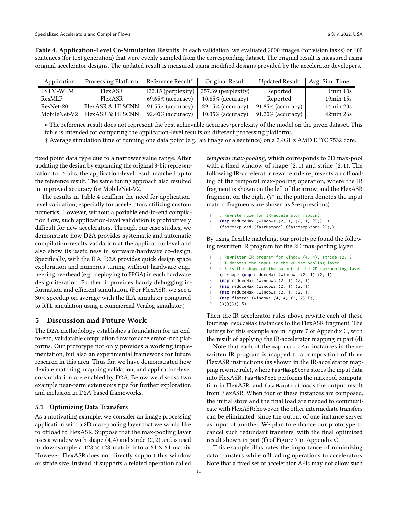<span id="page-10-1"></span>Table 4. Application-Level Co-Simulation Results. In each validation, we evaluated 2000 images (for vision tasks) or 100 sentences (for text generation) that were evenly sampled from the corresponding dataset. The original result is measured using original accelerator designs. The updated result is measured using modified designs provided by the accelerator developers.

| Application  | Processing Platform | Reference Result*     | Original Result       | <b>Updated Result</b> | Avg. Sim. Time <sup>†</sup> |
|--------------|---------------------|-----------------------|-----------------------|-----------------------|-----------------------------|
| LSTM-WLM     | FlexASR             | $122.15$ (perplexity) | $257.39$ (perplexity) | Reported              | $1min$ 10s                  |
| ResMLP       | FlexASR             | $69.65\%$ (accuracy)  | $10.65\%$ (accuracy)  | Reported              | $19min$ 15s                 |
| ResNet-20    | FlexASR & HLSCNN    | $91.55\%$ (accuracy)  | $29.15\%$ (accuracy)  | $91.85\%$ (accuracy)  | $14min\ 23s$                |
| MobileNet-V2 | FlexASR & HLSCNN    | $92.40\%$ (accuracy)  | $10.35\%$ (accuracy)  | $91.20\%$ (accuracy)  | $42\text{min} 26\text{s}$   |

∗ The reference result does not represent the best achievable accuracy/perplexity of the model on the given dataset. This table is intended for comparing the application-level results on different processing platforms.

† Average simulation time of running one data point (e.g., an image or a sentence) on a 2.4GHz AMD EPYC 7532 core.

fixed point data type due to a narrower value range. After updating the design by expanding the original 8-bit representation to 16 bits, the application-level result matched up to the reference result. The same tuning approach also resulted in improved accuracy for MobileNet-V2.

The results in Table [4](#page-10-1) reaffirm the need for applicationlevel validation, especially for accelerators utilizing custom numerics. However, without a portable end-to-end compilation flow, such application-level validation is prohibitively difficult for new accelerators. Through our case studies, we demonstrate how D2A provides systematic and automatic compilation-results validation at the application level and also show its usefulness in software/hardware co-design. Specifically, with the ILA, D2A provides quick design space exploration and numerics tuning without hardware engineering overhead (e.g., deploying to FPGA) in each hardware design iteration. Further, it provides handy debugging information and efficient simulation. (For FlexASR, we see a 30× speedup on average with the ILA simulator compared to RTL simulation using a commercial Verilog simulator.)

#### <span id="page-10-0"></span>5 Discussion and Future Work

The D2A methodology establishes a foundation for an endto-end, validatable compilation flow for accelerator-rich platforms. Our prototype not only provides a working implementation, but also an experimental framework for future research in this area. Thus far, we have demonstrated how flexible matching, mapping validation, and application-level co-simulation are enabled by D2A. Below we discuss two example near-term extensions ripe for further exploration and inclusion in D2A-based frameworks.

## 5.1 Optimizing Data Transfers

As a motivating example, we consider an image processing application with a 2D max-pooling layer that we would like to offload to FlexASR. Suppose that the max-pooling layer uses a window with shape (4, 4) and stride (2, 2) and is used to downsample a  $128 \times 128$  matrix into a  $64 \times 64$  matrix. However, FlexASR does not directly support this window or stride size. Instead, it supports a related operation called

temporal max-pooling, which corresponds to 2D max-pool with a fixed window of shape (2, 1) and stride (2, 1). The following IR-accelerator rewrite rule represents an offloading of the temporal max-pooling operation, where the IR fragment is shown on the left of the arrow, and the FlexASR fragment on the right (?T in the pattern denotes the input matrix; fragments are shown as S-expressions).

```
1 | ; Rewrite rule for IR-accelerator mapping
```
- 2 (**map** reduceMax (windows (2, 1) (2, 1) ?T)) ->
- 3 (fasrMaxpLoad (fasrMaxpool (fasrMaxpStore ?T)))

By using flexible matching, our prototype found the following rewritten IR program for the 2D max-pooling layer:

```
1 | ; Rewritten IR program for window (4, 4), stride (2, 2)
2 | ; T denotes the input to the 2D max-pooling layer
3 | ; S is the shape of the output of the 2D max-pooling layer
4 (reshape (map reduceMax (windows (2, 1) (2, 1)
5 (map reduceMax (windows (2, 1) (2, 1)
6 (map reduceMax (windows (2, 1) (2, 1)
7 (map reduceMax (windows (2, 1) (2, 1)
8 (map flatten (windows (4, 4) (2, 2) T))
9 ())))))))))) S)
```
Then the IR-accelerator rules above rewrite each of these four map reduceMax instances to the FlexASR fragment. The listings for this example are in Figure [7](#page-20-0) of Appendix [C,](#page-17-0) with the result of applying the IR-accelerator mapping in part (d).

Note that each of the map reduceMax instances in the rewritten IR program is mapped to a composition of three FlexASR instructions (as shown in the IR-accelerator mapping rewrite rule), where fasrMaxpStore stores the input data into FlexASR, fasrMaxPool performs the maxpool computation in FlexASR, and fasrMaxpLoad loads the output result from FlexASR. When four of these instances are composed, the initial store and the final load are needed to communicate with FlexASR; however, the other intermediate transfers can be eliminated, since the output of one instance serves as input of another. We plan to enhance our prototype to cancel such redundant transfers, with the final optimized result shown in part (f) of Figure [7](#page-20-0) in Appendix [C.](#page-17-0)

This example illustrates the importance of minimizing data transfers while offloading operations to accelerators. Note that a fixed set of accelerator APIs may not allow such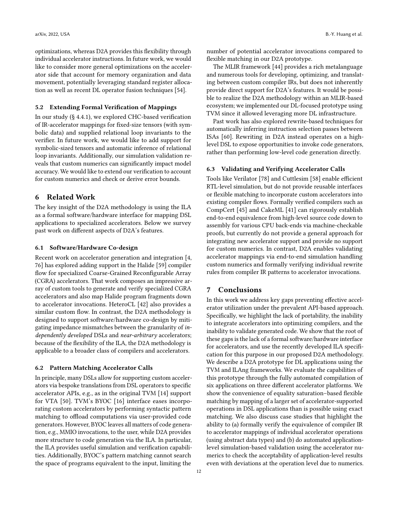optimizations, whereas D2A provides this flexibility through individual accelerator instructions. In future work, we would like to consider more general optimizations on the accelerator side that account for memory organization and data movement, potentially leveraging standard register allocation as well as recent DL operator fusion techniques [\[54\]](#page-14-15).

## 5.2 Extending Formal Verification of Mappings

In our study (§ [4.4.1\)](#page-9-2), we explored CHC-based verification of IR-accelerator mappings for fixed-size tensors (with symbolic data) and supplied relational loop invariants to the verifier. In future work, we would like to add support for symbolic-sized tensors and automatic inference of relational loop invariants. Additionally, our simulation validation reveals that custom numerics can significantly impact model accuracy. We would like to extend our verification to account for custom numerics and check or derive error bounds.

# <span id="page-11-0"></span>6 Related Work

The key insight of the D2A methodology is using the ILA as a formal software/hardware interface for mapping DSL applications to specialized accelerators. Below we survey past work on different aspects of D2A's features.

#### 6.1 Software/Hardware Co-design

Recent work on accelerator generation and integration [\[4,](#page-12-18) [76\]](#page-15-19) has explored adding support in the Halide [\[59\]](#page-14-1) compiler flow for specialized Coarse-Grained Reconfigurable Array (CGRA) accelerators. That work composes an impressive array of custom tools to generate and verify specialized CGRA accelerators and also map Halide program fragments down to accelerator invocations. HeteroCL [\[42\]](#page-14-3) also provides a similar custom flow. In contrast, the D2A methodology is designed to support software/hardware co-design by mitigating impedance mismatches between the granularity of independently developed DSLs and near-arbitrary accelerators; because of the flexibility of the ILA, the D2A methodology is applicable to a broader class of compilers and accelerators.

#### 6.2 Pattern Matching Accelerator Calls

In principle, many DSLs allow for supporting custom accelerators via bespoke translations from DSL operators to specific accelerator APIs, e.g., as in the original TVM [\[14\]](#page-12-8) support for VTA [\[50\]](#page-14-5). TVM's BYOC [\[16\]](#page-12-13) interface eases incorporating custom accelerators by performing syntactic pattern matching to offload computations via user-provided code generators. However, BYOC leaves all matters of code generation, e.g., MMIO invocations, to the user, while D2A provides more structure to code generation via the ILA. In particular, the ILA provides useful simulation and verification capabilities. Additionally, BYOC's pattern matching cannot search the space of programs equivalent to the input, limiting the

number of potential accelerator invocations compared to flexible matching in our D2A prototype.

The MLIR framework [\[44\]](#page-14-16) provides a rich metalanguage and numerous tools for developing, optimizing, and translating between custom compiler IRs, but does not inherently provide direct support for D2A's features. It would be possible to realize the D2A methodology within an MLIR-based ecosystem; we implemented our DL-focused prototype using TVM since it allowed leveraging more DL infrastructure.

Past work has also explored rewrite-based techniques for automatically inferring instruction selection passes between ISAs [\[60\]](#page-15-20). Rewriting in D2A instead operates on a highlevel DSL to expose opportunities to invoke code generators, rather than performing low-level code generation directly.

#### 6.3 Validating and Verifying Accelerator Calls

Tools like Verilator [\[78\]](#page-15-21) and Cuttlesim [\[58\]](#page-14-17) enable efficient RTL-level simulation, but do not provide reusable interfaces or flexible matching to incorporate custom accelerators into existing compiler flows. Formally verified compilers such as CompCert [\[45\]](#page-14-18) and CakeML [\[41\]](#page-14-19) can rigorously establish end-to-end equivalence from high-level source code down to assembly for various CPU back-ends via machine-checkable proofs, but currently do not provide a general approach for integrating new accelerator support and provide no support for custom numerics. In contrast, D2A enables validating accelerator mappings via end-to-end simulation handling custom numerics and formally verifying individual rewrite rules from compiler IR patterns to accelerator invocations.

# <span id="page-11-1"></span>7 Conclusions

In this work we address key gaps preventing effective accelerator utilization under the prevalent API-based approach. Specifically, we highlight the lack of portability, the inability to integrate accelerators into optimizing compilers, and the inability to validate generated code. We show that the root of these gaps is the lack of a formal software/hardware interface for accelerators, and use the recently developed ILA specification for this purpose in our proposed D2A methodology. We describe a D2A prototype for DL applications using the TVM and ILAng frameworks. We evaluate the capabilities of this prototype through the fully automated compilation of six applications on three different accelerator platforms. We show the convenience of equality saturation–based flexible matching by mapping of a larger set of accelerator-supported operations in DSL applications than is possible using exact matching. We also discuss case studies that highlight the ability to (a) formally verify the equivalence of compiler IR to accelerator mappings of individual accelerator operations (using abstract data types) and (b) do automated applicationlevel simulation-based validation using the accelerator numerics to check the acceptability of application-level results even with deviations at the operation level due to numerics.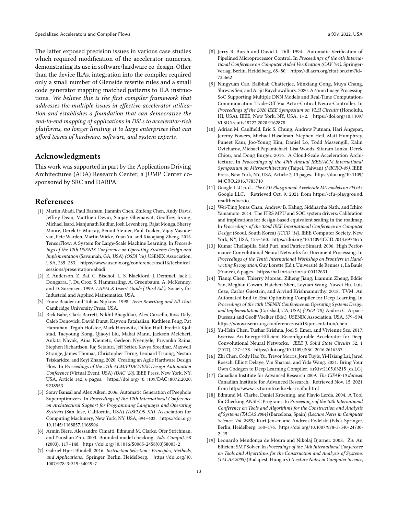The latter exposed precision issues in various case studies which required modification of the accelerator numerics, demonstrating its use in software/hardware co-design. Other than the device ILAs, integration into the compiler required only a small number of Glenside rewrite rules and a small code generator mapping matched patterns to ILA instructions. We believe this is the first compiler framework that addresses the multiple issues in effective accelerator utilization and establishes a foundation that can democratize the end-to-end mapping of applications in DSLs to accelerator-rich platforms, no longer limiting it to large enterprises that can afford teams of hardware, software, and system experts.

# Acknowledgments

This work was supported in part by the Applications Driving Architectures (ADA) Research Center, a JUMP Center cosponsored by SRC and DARPA.

# References

- <span id="page-12-2"></span>[1] Martín Abadi, Paul Barham, Jianmin Chen, Zhifeng Chen, Andy Davis, Jeffrey Dean, Matthieu Devin, Sanjay Ghemawat, Geoffrey Irving, Michael Isard, Manjunath Kudlur, Josh Levenberg, Rajat Monga, Sherry Moore, Derek G. Murray, Benoit Steiner, Paul Tucker, Vijay Vasudevan, Pete Warden, Martin Wicke, Yuan Yu, and Xiaoqiang Zheng. 2016. TensorFlow: A System for Large-Scale Machine Learning. In Proceedings of the 12th USENIX Conference on Operating Systems Design and Implementation (Savannah, GA, USA) (OSDI '16). USENIX Association, USA, 265–283. [https://www.usenix.org/conference/osdi16/technical](https://www.usenix.org/conference/osdi16/technical-sessions/presentation/abadi)[sessions/presentation/abadi](https://www.usenix.org/conference/osdi16/technical-sessions/presentation/abadi)
- <span id="page-12-15"></span>[2] E. Anderson, Z. Bai, C. Bischof, L. S. Blackford, J. Demmel, Jack J. Dongarra, J. Du Croz, S. Hammarling, A. Greenbaum, A. McKenney, and D. Sorensen. 1999. LAPACK Users' Guide (Third Ed.). Society for Industrial and Applied Mathematics, USA.
- <span id="page-12-7"></span>[3] Franz Baader and Tobias Nipkow. 1998. Term Rewriting and All That. Cambridge University Press, USA.
- <span id="page-12-18"></span>[4] Rick Bahr, Clark Barrett, Nikhil Bhagdikar, Alex Carsello, Ross Daly, Caleb Donovick, David Durst, Kayvon Fatahalian, Kathleen Feng, Pat Hanrahan, Teguh Hofstee, Mark Horowitz, Dillon Huff, Fredrik Kjolstad, Taeyoung Kong, Qiaoyi Liu, Makai Mann, Jackson Melchert, Ankita Nayak, Aina Niemetz, Gedeon Nyengele, Priyanka Raina, Stephen Richardson, Raj Setaluri, Jeff Setter, Kavya Sreedhar, Maxwell Strange, James Thomas, Christopher Torng, Leonard Truong, Nestan Tsiskaridze, and Keyi Zhang. 2020. Creating an Agile Hardware Design Flow. In Proceedings of the 57th ACM/EDAC/IEEE Design Automation Conference (Virtual Event, USA) (DAC '20). IEEE Press, New York, NY, USA, Article 142, 6 pages. [https://doi.org/10.1109/DAC18072.2020.](https://doi.org/10.1109/DAC18072.2020.9218553) [9218553](https://doi.org/10.1109/DAC18072.2020.9218553)
- <span id="page-12-9"></span>[5] Sorav Bansal and Alex Aiken. 2006. Automatic Generation of Peephole Superoptimizers. In Proceedings of the 12th International Conference on Architectural Support for Programming Languages and Operating Systems (San Jose, California, USA) (ASPLOS XII). Association for Computing Machinery, New York, NY, USA, 394–403. [https://doi.org/](https://doi.org/10.1145/1168857.1168906) [10.1145/1168857.1168906](https://doi.org/10.1145/1168857.1168906)
- <span id="page-12-16"></span>[6] Armin Biere, Alessandro Cimatti, Edmund M. Clarke, Ofer Strichman, and Yunshan Zhu. 2003. Bounded model checking. Adv. Comput. 58 (2003), 117–148. [https://doi.org/10.1016/S0065-2458\(03\)58003-2](https://doi.org/10.1016/S0065-2458(03)58003-2)
- <span id="page-12-6"></span>[7] Gabriel Hjort Blindell. 2016. Instruction Selection - Principles, Methods, and Applications. Springer, Berlin, Heidelberg. [https://doi.org/10.](https://doi.org/10.1007/978-3-319-34019-7) [1007/978-3-319-34019-7](https://doi.org/10.1007/978-3-319-34019-7)
- <span id="page-12-12"></span>[8] Jerry R. Burch and David L. Dill. 1994. Automatic Verification of Pipelined Microprocessor Control. In Proceedings of the 6th International Conference on Computer Aided Verification (CAV '94). Springer-Verlag, Berlin, Heidelberg, 68–80. [https://dl.acm.org/citation.cfm?id=](https://dl.acm.org/citation.cfm?id=735662) [735662](https://dl.acm.org/citation.cfm?id=735662)
- <span id="page-12-3"></span>[9] Ningyuan Cao, Baibhab Chatterjee, Minxiang Gong, Muya Chang, Shreyas Sen, and Arijit Raychowdhury. 2020. A 65nm Image Processing SoC Supporting Multiple DNN Models and Real-Time Computation-Communication Trade-Off Via Actor-Critical Neuro-Controller. In Proceedings of the 2020 IEEE Symposium on VLSI Circuits (Honolulu, HI, USA). IEEE, New York, NY, USA, 1–2. [https://doi.org/10.1109/](https://doi.org/10.1109/VLSICircuits18222.2020.9162878) [VLSICircuits18222.2020.9162878](https://doi.org/10.1109/VLSICircuits18222.2020.9162878)
- <span id="page-12-5"></span>[10] Adrian M. Caulfield, Eric S. Chung, Andrew Putnam, Hari Angepat, Jeremy Fowers, Michael Haselman, Stephen Heil, Matt Humphrey, Puneet Kaur, Joo-Young Kim, Daniel Lo, Todd Massengill, Kalin Ovtcharov, Michael Papamichael, Lisa Woods, Sitaram Lanka, Derek Chiou, and Doug Burger. 2016. A Cloud-Scale Acceleration Architecture. In Proceedings of the 49th Annual IEEE/ACM International Symposium on Microarchitecture (Taipei, Taiwan) (MICRO-49). IEEE Press, New York, NY, USA, Article 7, 13 pages. [https://doi.org/10.1109/](https://doi.org/10.1109/MICRO.2016.7783710) [MICRO.2016.7783710](https://doi.org/10.1109/MICRO.2016.7783710)
- <span id="page-12-4"></span>[11] Google LLC n. d.. The CFU Playground: Accelerate ML models on FPGAs. Google LLC. Retrieved Oct. 9, 2021 from [https://cfu-playground.](https://cfu-playground.readthedocs.io) [readthedocs.io](https://cfu-playground.readthedocs.io)
- <span id="page-12-0"></span>[12] Wei-Ting Jonas Chan, Andrew B. Kahng, Siddhartha Nath, and Ichiro Yamamoto. 2014. The ITRS MPU and SOC system drivers: Calibration and implications for design-based equivalent scaling in the roadmap. In Proceedings of the 32nd IEEE International Conference on Computer Design (Seoul, South Korea) (ICCD '14). IEEE Computer Society, New York, NY, USA, 153–160. <https://doi.org/10.1109/ICCD.2014.6974675>
- <span id="page-12-14"></span>[13] Kumar Chellapilla, Sidd Puri, and Patrice Simard. 2006. High Performance Convolutional Neural Networks for Document Processing. In Proceedings of the Tenth International Workshop on Frontiers in Handwriting Recognition, Guy Lorette (Ed.). Université de Rennes 1, La Baule (France), 6 pages. <https://hal.inria.fr/inria-00112631>
- <span id="page-12-8"></span>[14] Tianqi Chen, Thierry Moreau, Ziheng Jiang, Lianmin Zheng, Eddie Yan, Meghan Cowan, Haichen Shen, Leyuan Wang, Yuwei Hu, Luis Ceze, Carlos Guestrin, and Arvind Krishnamurthy. 2018. TVM: An Automated End-to-End Optimizing Compiler for Deep Learning. In Proceedings of the 13th USENIX Conference on Operating Systems Design and Implementation (Carlsbad, CA, USA) (OSDI '18), Andrea C. Arpaci-Dusseau and Geoff Voelker (Eds.). USENIX Association, USA, 579–594. <https://www.usenix.org/conference/osdi18/presentation/chen>
- <span id="page-12-1"></span>[15] Yu-Hsin Chen, Tushar Krishna, Joel S. Emer, and Vivienne Sze. 2017. Eyeriss: An Energy-Efficient Reconfigurable Accelerator for Deep Convolutional Neural Networks. IEEE J. Solid State Circuits 52, 1 (2017), 127–138. <https://doi.org/10.1109/JSSC.2016.2616357>
- <span id="page-12-13"></span>[16] Zhi Chen, Cody Hao Yu, Trevor Morris, Jorn Tuyls, Yi-Hsiang Lai, Jared Roesch, Elliott Delaye, Vin Sharma, and Yida Wang. 2021. Bring Your Own Codegen to Deep Learning Compiler. arXiv[:2105.03215](https://arxiv.org/abs/2105.03215) [cs.LG]
- <span id="page-12-17"></span>[17] Canadian Institute for Advanced Research 2009. The CIFAR-10 dataset. Canadian Institute for Advanced Research. Retrieved Nov. 15, 2021 from <http://www.cs.toronto.edu/~kriz/cifar.html>
- <span id="page-12-10"></span>[18] Edmund M. Clarke, Daniel Kroening, and Flavio Lerda. 2004. A Tool for Checking ANSI-C Programs. In Proceedings of the 10th International Conference on Tools and Algorithms for the Construction and Analysis of Systems (TACAS 2004) (Barcelona, Spain) (Lecture Notes in Computer Science, Vol. 2988), Kurt Jensen and Andreas Podelski (Eds.). Springer, Berlin, Heidelberg, 168–176. [https://doi.org/10.1007/978-3-540-24730-](https://doi.org/10.1007/978-3-540-24730-2_15) [2\\_15](https://doi.org/10.1007/978-3-540-24730-2_15)
- <span id="page-12-11"></span>[19] Leonardo Mendonça de Moura and Nikolaj Bjørner. 2008. Z3: An Efficient SMT Solver. In Proceedings of the 14th International Conference on Tools and Algorithms for the Construction and Analysis of Systems (TACAS 2008) (Budapest, Hungary) (Lecture Notes in Computer Science,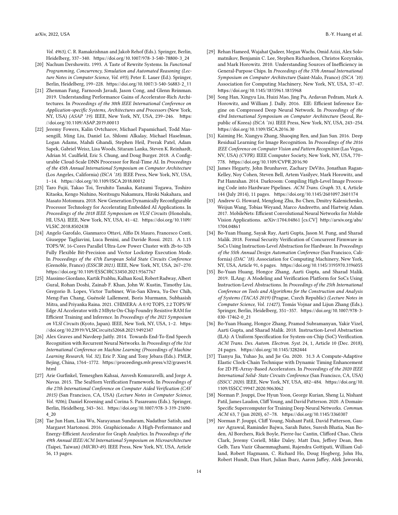Vol. 4963), C. R. Ramakrishnan and Jakob Rehof (Eds.). Springer, Berlin, Heidelberg, 337–340. [https://doi.org/10.1007/978-3-540-78800-3\\_24](https://doi.org/10.1007/978-3-540-78800-3_24)

- <span id="page-13-11"></span>[20] Nachum Dershowitz. 1993. A Taste of Rewrite Systems. In Functional Programming, Concurrency, Simulation and Automated Reasoning (Lecture Notes in Computer Science, Vol. 693), Peter E. Lauer (Ed.). Springer, Berlin, Heidelberg, 199–228. [https://doi.org/10.1007/3-540-56883-2\\_11](https://doi.org/10.1007/3-540-56883-2_11)
- <span id="page-13-0"></span>[21] Zhenman Fang, Farnoosh Javadi, Jason Cong, and Glenn Reinman. 2019. Understanding Performance Gains of Accelerator-Rich Architectures. In Proceedings of the 30th IEEE International Conference on Application-specific Systems, Architectures and Processors (New York, NY, USA) (ASAP '19). IEEE, New York, NY, USA, 239–246. [https:](https://doi.org/10.1109/ASAP.2019.00013) [//doi.org/10.1109/ASAP.2019.00013](https://doi.org/10.1109/ASAP.2019.00013)
- <span id="page-13-9"></span>[22] Jeremy Fowers, Kalin Ovtcharov, Michael Papamichael, Todd Massengill, Ming Liu, Daniel Lo, Shlomi Alkalay, Michael Haselman, Logan Adams, Mahdi Ghandi, Stephen Heil, Prerak Patel, Adam Sapek, Gabriel Weisz, Lisa Woods, Sitaram Lanka, Steven K. Reinhardt, Adrian M. Caulfield, Eric S. Chung, and Doug Burger. 2018. A Configurable Cloud-Scale DNN Processor for Real-Time AI. In Proceedings of the 45th Annual International Symposium on Computer Architecture (Los Angeles, California) (ISCA '18). IEEE Press, New York, NY, USA, 1–14. <https://doi.org/10.1109/ISCA.2018.00012>
- <span id="page-13-5"></span>[23] Taro Fujii, Takao Toi, Teruhito Tanaka, Katsumi Togawa, Toshiro Kitaoka, Kengo Nishino, Noritsugu Nakamura, Hiroki Nakahara, and Masato Motomura. 2018. New Generation Dynamically Reconfigurable Processor Technology for Accelerating Embedded AI Applications. In Proceedings of the 2018 IEEE Symposium on VLSI Circuits (Honolulu, HI, USA). IEEE, New York, NY, USA, 41–42. [https://doi.org/10.1109/](https://doi.org/10.1109/VLSIC.2018.8502438) [VLSIC.2018.8502438](https://doi.org/10.1109/VLSIC.2018.8502438)
- [24] Angelo Garofalo, Gianmarco Ottavi, Alfio Di Mauro, Francesco Conti, Giuseppe Tagliavini, Luca Benini, and Davide Rossi. 2021. A 1.15 TOPS/W, 16-Cores Parallel Ultra-Low Power Cluster with 2b-to-32b Fully Flexible Bit-Precision and Vector Lockstep Execution Mode. In Proceedings of the 47th European Solid State Circuits Conference (Grenoble, France) (ESSCIR 2021). IEEE, New York, NY, USA, 267–270. <https://doi.org/10.1109/ESSCIRC53450.2021.9567767>
- <span id="page-13-6"></span>[25] Massimo Giordano, Kartik Prabhu, Kalhan Koul, Robert Radway, Albert Gural, Rohan Doshi, Zainab F. Khan, John W. Kustin, Timothy Liu, Gregorio B. Lopes, Victor Turbiner, Win-San Khwa, Yu-Der Chih, Meng-Fan Chang, Guénolé Lallement, Boris Murmann, Subhasish Mitra, and Priyanka Raina. 2021. CHIMERA: A 0.92 TOPS, 2.2 TOPS/W Edge AI Accelerator with 2 MByte On-Chip Foundry Resistive RAM for Efficient Training and Inference. In Proceedings of the 2021 Symposium on VLSI Circuits (Kyoto, Japan). IEEE, New York, NY, USA, 1–2. [https:](https://doi.org/10.23919/VLSICircuits52068.2021.9492347) [//doi.org/10.23919/VLSICircuits52068.2021.9492347](https://doi.org/10.23919/VLSICircuits52068.2021.9492347)
- <span id="page-13-16"></span>[26] Alex Graves and Navdeep Jaitly. 2014. Towards End-To-End Speech Recognition with Recurrent Neural Networks. In Proceedings of the 31st International Conference on Machine Learning (Proceedings of Machine Learning Research, Vol. 32), Eric P. Xing and Tony Jebara (Eds.). PMLR, Bejing, China, 1764–1772. [https://proceedings.mlr.press/v32/graves14.](https://proceedings.mlr.press/v32/graves14.html) [html](https://proceedings.mlr.press/v32/graves14.html)
- <span id="page-13-14"></span>[27] Arie Gurfinkel, Temesghen Kahsai, Anvesh Komuravelli, and Jorge A. Navas. 2015. The SeaHorn Verification Framework. In Proceedings of the 27th International Conference on Computer Aided Verification (CAV 2015) (San Francisco, CA, USA) (Lecture Notes in Computer Science, Vol. 9206), Daniel Kroening and Corina S. Pasareanu (Eds.). Springer, Berlin, Heidelberg, 343–361. [https://doi.org/10.1007/978-3-319-21690-](https://doi.org/10.1007/978-3-319-21690-4_20) [4\\_20](https://doi.org/10.1007/978-3-319-21690-4_20)
- <span id="page-13-1"></span>[28] Tae Jun Ham, Lisa Wu, Narayanan Sundaram, Nadathur Satish, and Margaret Martonosi. 2016. Graphicionado: A High-Performance and Energy-Efficient Accelerator for Graph Analytics. In Proceedings of the 49th Annual IEEE/ACM International Symposium on Microarchitecture (Taipei, Taiwan) (MICRO-49). IEEE Press, New York, NY, USA, Article 56, 13 pages.
- [29] Rehan Hameed, Wajahat Qadeer, Megan Wachs, Omid Azizi, Alex Solomatnikov, Benjamin C. Lee, Stephen Richardson, Christos Kozyrakis, and Mark Horowitz. 2010. Understanding Sources of Inefficiency in General-Purpose Chips. In Proceedings of the 37th Annual International Symposium on Computer Architecture (Saint-Malo, France) (ISCA '10). Association for Computing Machinery, New York, NY, USA, 37–47. <https://doi.org/10.1145/1815961.1815968>
- <span id="page-13-2"></span>[30] Song Han, Xingyu Liu, Huizi Mao, Jing Pu, Ardavan Pedram, Mark A. Horowitz, and William J. Dally. 2016. EIE: Efficient Inference Engine on Compressed Deep Neural Network. In Proceedings of the 43rd International Symposium on Computer Architecture (Seoul, Republic of Korea) (ISCA '16). IEEE Press, New York, NY, USA, 243–254. <https://doi.org/10.1109/ISCA.2016.30>
- <span id="page-13-13"></span>[31] Kaiming He, Xiangyu Zhang, Shaoqing Ren, and Jian Sun. 2016. Deep Residual Learning for Image Recognition. In Proceedings of the 2016 IEEE Conference on Computer Vision and Pattern Recognition (Las Vegas, NV, USA) (CVPR). IEEE Computer Society, New York, NY, USA, 770– 778. <https://doi.org/10.1109/CVPR.2016.90>
- <span id="page-13-8"></span>[32] James Hegarty, John Brunhaver, Zachary DeVito, Jonathan Ragan-Kelley, Noy Cohen, Steven Bell, Artem Vasilyev, Mark Horowitz, and Pat Hanrahan. 2014. Darkroom: Compiling High-Level Image Processing Code into Hardware Pipelines. ACM Trans. Graph. 33, 4, Article 144 (July 2014), 11 pages. <https://doi.org/10.1145/2601097.2601174>
- <span id="page-13-17"></span>[33] Andrew G. Howard, Menglong Zhu, Bo Chen, Dmitry Kalenichenko, Weijun Wang, Tobias Weyand, Marco Andreetto, and Hartwig Adam. 2017. MobileNets: Efficient Convolutional Neural Networks for Mobile Vision Applications. arXiv[:1704.04861](https://arxiv.org/abs/1704.04861) [cs.CV] [http://arxiv.org/abs/](http://arxiv.org/abs/1704.04861) [1704.04861](http://arxiv.org/abs/1704.04861)
- <span id="page-13-15"></span>[34] Bo-Yuan Huang, Sayak Ray, Aarti Gupta, Jason M. Fung, and Sharad Malik. 2018. Formal Security Verification of Concurrent Firmware in SoCs Using Instruction-Level Abstraction for Hardware. In Proceedings of the 55th Annual Design Automation Conference (San Francisco, California) (DAC '18). Association for Computing Machinery, New York, NY, USA, Article 91, 6 pages. <https://doi.org/10.1145/3195970.3196055>
- <span id="page-13-12"></span>[35] Bo-Yuan Huang, Hongce Zhang, Aarti Gupta, and Sharad Malik. 2019. ILAng: A Modeling and Verification Platform for SoCs Using Instruction-Level Abstractions. In Proceedings of the 25th International Conference on Tools and Algorithms for the Construction and Analysis of Systems (TACAS 2019) (Prague, Czech Republic) (Lecture Notes in Computer Science, Vol. 11427), Tomás Vojnar and Lijun Zhang (Eds.). Springer, Berlin, Heidelberg, 351–357. [https://doi.org/10.1007/978-3-](https://doi.org/10.1007/978-3-030-17462-0_21) [030-17462-0\\_21](https://doi.org/10.1007/978-3-030-17462-0_21)
- <span id="page-13-10"></span>[36] Bo-Yuan Huang, Hongce Zhang, Pramod Subramanyan, Yakir Vizel, Aarti Gupta, and Sharad Malik. 2018. Instruction-Level Abstraction (ILA): A Uniform Specification for System-on-Chip (SoC) Verification. ACM Trans. Des. Autom. Electron. Syst. 24, 1, Article 10 (Dec. 2018), 24 pages. <https://doi.org/10.1145/3282444>
- <span id="page-13-7"></span>[37] Tianyu Jia, Yuhao Ju, and Jie Gu. 2020. 31.3 A Compute-Adaptive Elastic Clock-Chain Technique with Dynamic Timing Enhancement for 2D PE-Array-Based Accelerators. In Proceedings of the 2020 IEEE International Solid- State Circuits Conference (San Francisco, CA, USA) (ISSCC 2020). IEEE, New York, NY, USA, 482–484. [https://doi.org/10.](https://doi.org/10.1109/ISSCC19947.2020.9063062) [1109/ISSCC19947.2020.9063062](https://doi.org/10.1109/ISSCC19947.2020.9063062)
- <span id="page-13-3"></span>[38] Norman P. Jouppi, Doe Hyun Yoon, George Kurian, Sheng Li, Nishant Patil, James Laudon, Cliff Young, and David Patterson. 2020. A Domain-Specific Supercomputer for Training Deep Neural Networks. Commun. ACM 63, 7 (jun 2020), 67–78. <https://doi.org/10.1145/3360307>
- <span id="page-13-4"></span>[39] Norman P. Jouppi, Cliff Young, Nishant Patil, David Patterson, Gaurav Agrawal, Raminder Bajwa, Sarah Bates, Suresh Bhatia, Nan Boden, Al Borchers, Rick Boyle, Pierre-luc Cantin, Clifford Chao, Chris Clark, Jeremy Coriell, Mike Daley, Matt Dau, Jeffrey Dean, Ben Gelb, Tara Vazir Ghaemmaghami, Rajendra Gottipati, William Gulland, Robert Hagmann, C. Richard Ho, Doug Hogberg, John Hu, Robert Hundt, Dan Hurt, Julian Ibarz, Aaron Jaffey, Alek Jaworski,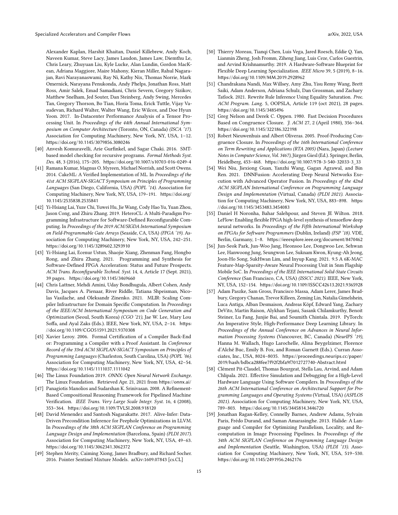Alexander Kaplan, Harshit Khaitan, Daniel Killebrew, Andy Koch, Naveen Kumar, Steve Lacy, James Laudon, James Law, Diemthu Le, Chris Leary, Zhuyuan Liu, Kyle Lucke, Alan Lundin, Gordon MacKean, Adriana Maggiore, Maire Mahony, Kieran Miller, Rahul Nagarajan, Ravi Narayanaswami, Ray Ni, Kathy Nix, Thomas Norrie, Mark Omernick, Narayana Penukonda, Andy Phelps, Jonathan Ross, Matt Ross, Amir Salek, Emad Samadiani, Chris Severn, Gregory Sizikov, Matthew Snelham, Jed Souter, Dan Steinberg, Andy Swing, Mercedes Tan, Gregory Thorson, Bo Tian, Horia Toma, Erick Tuttle, Vijay Vasudevan, Richard Walter, Walter Wang, Eric Wilcox, and Doe Hyun Yoon. 2017. In-Datacenter Performance Analysis of a Tensor Processing Unit. In Proceedings of the 44th Annual International Symposium on Computer Architecture (Toronto, ON, Canada) (ISCA '17). Association for Computing Machinery, New York, NY, USA, 1–12. <https://doi.org/10.1145/3079856.3080246>

- <span id="page-14-13"></span>[40] Anvesh Komuravelli, Arie Gurfinkel, and Sagar Chaki. 2016. SMTbased model checking for recursive programs. Formal Methods Syst. Des. 48, 3 (2016), 175–205. <https://doi.org/10.1007/s10703-016-0249-4>
- <span id="page-14-19"></span>[41] Ramana Kumar, Magnus O. Myreen, Michael Norrish, and Scott Owens. 2014. CakeML: A Verified Implementation of ML. In Proceedings of the 41st ACM SIGPLAN-SIGACT Symposium on Principles of Programming Languages (San Diego, California, USA) (POPL '14). Association for Computing Machinery, New York, NY, USA, 179–191. [https://doi.org/](https://doi.org/10.1145/2535838.2535841) [10.1145/2535838.2535841](https://doi.org/10.1145/2535838.2535841)
- <span id="page-14-3"></span>[42] Yi-Hsiang Lai, Yuze Chi, Yuwei Hu, Jie Wang, Cody Hao Yu, Yuan Zhou, Jason Cong, and Zhiru Zhang. 2019. HeteroCL: A Multi-Paradigm Programming Infrastructure for Software-Defined Reconfigurable Computing. In Proceedings of the 2019 ACM/SIGDA International Symposium on Field-Programmable Gate Arrays (Seaside, CA, USA) (FPGA '19). Association for Computing Machinery, New York, NY, USA, 242–251. <https://doi.org/10.1145/3289602.3293910>
- <span id="page-14-0"></span>[43] Yi-Hsiang Lai, Ecenur Ustun, Shaojie Xiang, Zhenman Fang, Hongbo Rong, and Zhiru Zhang. 2021. Programming and Synthesis for Software-Defined FPGA Acceleration: Status and Future Prospects. ACM Trans. Reconfigurable Technol. Syst. 14, 4, Article 17 (Sept. 2021), 39 pages. <https://doi.org/10.1145/3469660>
- <span id="page-14-16"></span>[44] Chris Lattner, Mehdi Amini, Uday Bondhugula, Albert Cohen, Andy Davis, Jacques A. Pienaar, River Riddle, Tatiana Shpeisman, Nicolas Vasilache, and Oleksandr Zinenko. 2021. MLIR: Scaling Compiler Infrastructure for Domain Specific Computation. In Proceedings of the IEEE/ACM International Symposium on Code Generation and Optimization (Seoul, South Korea) (CGO '21), Jae W. Lee, Mary Lou Soffa, and Ayal Zaks (Eds.). IEEE, New York, NY, USA, 2–14. [https:](https://doi.org/10.1109/CGO51591.2021.9370308) [//doi.org/10.1109/CGO51591.2021.9370308](https://doi.org/10.1109/CGO51591.2021.9370308)
- <span id="page-14-18"></span>[45] Xavier Leroy. 2006. Formal Certification of a Compiler Back-End or: Programming a Compiler with a Proof Assistant. In Conference Record of the 33rd ACM SIGPLAN-SIGACT Symposium on Principles of Programming Languages (Charleston, South Carolina, USA) (POPL '06). Association for Computing Machinery, New York, NY, USA, 42–54. <https://doi.org/10.1145/1111037.1111042>
- <span id="page-14-11"></span>[46] The Linux Foundation 2019. ONNX: Open Neural Network Exchange. The Linux Foundation. Retrieved Apr. 21, 2021 from <https://onnx.ai/>
- <span id="page-14-10"></span>[47] Panagiotis Manolios and Sudarshan K. Srinivasan. 2008. A Refinement-Based Compositional Reasoning Framework for Pipelined Machine Verification. IEEE Trans. Very Large Scale Integr. Syst. 16, 4 (2008), 353–364. <https://doi.org/10.1109/TVLSI.2008.918120>
- <span id="page-14-8"></span>[48] David Menendez and Santosh Nagarakatte. 2017. Alive-Infer: Data-Driven Precondition Inference for Peephole Optimizations in LLVM. In Proceedings of the 38th ACM SIGPLAN Conference on Programming Language Design and Implementation (Barcelona, Spain) (PLDI 2017). Association for Computing Machinery, New York, NY, USA, 49–63. <https://doi.org/10.1145/3062341.3062372>
- <span id="page-14-14"></span>[49] Stephen Merity, Caiming Xiong, James Bradbury, and Richard Socher. 2016. Pointer Sentinel Mixture Models. arXiv[:1609.07843](https://arxiv.org/abs/1609.07843) [cs.CL]
- <span id="page-14-5"></span>[50] Thierry Moreau, Tianqi Chen, Luis Vega, Jared Roesch, Eddie Q. Yan, Lianmin Zheng, Josh Fromm, Ziheng Jiang, Luis Ceze, Carlos Guestrin, and Arvind Krishnamurthy. 2019. A Hardware-Software Blueprint for Flexible Deep Learning Specialization. IEEE Micro 39, 5 (2019), 8–16. <https://doi.org/10.1109/MM.2019.2928962>
- <span id="page-14-9"></span>[51] Chandrakana Nandi, Max Willsey, Amy Zhu, Yisu Remy Wang, Brett Saiki, Adam Anderson, Adriana Schulz, Dan Grossman, and Zachary Tatlock. 2021. Rewrite Rule Inference Using Equality Saturation. Proc. ACM Program. Lang. 5, OOPSLA, Article 119 (oct 2021), 28 pages. <https://doi.org/10.1145/3485496>
- <span id="page-14-6"></span>[52] Greg Nelson and Derek C. Oppen. 1980. Fast Decision Procedures Based on Congruence Closure. J. ACM 27, 2 (April 1980), 356–364. <https://doi.org/10.1145/322186.322198>
- <span id="page-14-7"></span>[53] Robert Nieuwenhuis and Albert Oliveras. 2005. Proof-Producing Congruence Closure. In Proceedings of the 16th International Conference on Term Rewriting and Applications (RTA 2005) (Nara, Japan) (Lecture Notes in Computer Science, Vol. 3467), Jürgen Giesl (Ed.). Springer, Berlin, Heidelberg, 453–468. [https://doi.org/10.1007/978-3-540-32033-3\\_33](https://doi.org/10.1007/978-3-540-32033-3_33)
- <span id="page-14-15"></span>[54] Wei Niu, Jiexiong Guan, Yanzhi Wang, Gagan Agrawal, and Bin Ren. 2021. DNNFusion: Accelerating Deep Neural Networks Execution with Advanced Operator Fusion. In Proceedings of the 42nd ACM SIGPLAN International Conference on Programming Language Design and Implementation (Virtual, Canada) (PLDI 2021). Association for Computing Machinery, New York, NY, USA, 883–898. [https:](https://doi.org/10.1145/3453483.3454083) [//doi.org/10.1145/3453483.3454083](https://doi.org/10.1145/3453483.3454083)
- <span id="page-14-4"></span>[55] Daniel H Noronha, Bahar Salehpour, and Steven JE Wilton. 2018. LeFlow: Enabling flexible FPGA high-level synthesis of tensorflow deep neural networks. In Proceedings of the Fifth International Workshop on FPGAs for Software Programmers (Dublin, Ireland) (FSP '18). VDE, Berlin, Garmany, 1–8. <https://ieeexplore.ieee.org/document/8470462>
- <span id="page-14-2"></span>[56] Jun-Seok Park, Jun-Woo Jang, Heonsoo Lee, Dongwoo Lee, Sehwan Lee, Hanwoong Jung, Seungwon Lee, Suknam Kwon, Kyung-Ah Jeong, Joon-Ho Song, SukHwan Lim, and Inyup Kang. 2021. 9.5 A 6K-MAC Feature-Map-Sparsity-Aware Neural Processing Unit in 5nm Flagship Mobile SoC. In Proceedings of the IEEE International Solid-State Circuits Conference (San Francisco, CA, USA) (ISSCC 2021). IEEE, New York, NY, USA, 152–154. <https://doi.org/10.1109/ISSCC42613.2021.9365928>
- <span id="page-14-12"></span>[57] Adam Paszke, Sam Gross, Francisco Massa, Adam Lerer, James Bradbury, Gregory Chanan, Trevor Killeen, Zeming Lin, Natalia Gimelshein, Luca Antiga, Alban Desmaison, Andreas Köpf, Edward Yang, Zachary DeVito, Martin Raison, Alykhan Tejani, Sasank Chilamkurthy, Benoit Steiner, Lu Fang, Junjie Bai, and Soumith Chintala. 2019. PyTorch: An Imperative Style, High-Performance Deep Learning Library. In Proceedings of the Annual Conference on Advances in Neural Information Processing Systems (Vancouver, BC, Canada) (NeurIPS '19), Hanna M. Wallach, Hugo Larochelle, Alina Beygelzimer, Florence d'Alché Buc, Emily B. Fox, and Roman Garnett (Eds.). Curran Associates, Inc., USA, 8024–8035. [https://proceedings.neurips.cc/paper/](https://proceedings.neurips.cc/paper/2019/hash/bdbca288fee7f92f2bfa9f7012727740-Abstract.html) [2019/hash/bdbca288fee7f92f2bfa9f7012727740-Abstract.html](https://proceedings.neurips.cc/paper/2019/hash/bdbca288fee7f92f2bfa9f7012727740-Abstract.html)
- <span id="page-14-17"></span>[58] Clément Pit-Claudel, Thomas Bourgeat, Stella Lau, Arvind, and Adam Chlipala. 2021. Effective Simulation and Debugging for a High-Level Hardware Language Using Software Compilers. In Proceedings of the 26th ACM International Conference on Architectural Support for Programming Languages and Operating Systems (Virtual, USA) (ASPLOS 2021). Association for Computing Machinery, New York, NY, USA, 789–803. <https://doi.org/10.1145/3445814.3446720>
- <span id="page-14-1"></span>[59] Jonathan Ragan-Kelley, Connelly Barnes, Andrew Adams, Sylvain Paris, Frédo Durand, and Saman Amarasinghe. 2013. Halide: A Language and Compiler for Optimizing Parallelism, Locality, and Recomputation in Image Processing Pipelines. In Proceedings of the 34th ACM SIGPLAN Conference on Programming Language Design and Implementation (Seattle, Washington, USA) (PLDI '13). Association for Computing Machinery, New York, NY, USA, 519–530. <https://doi.org/10.1145/2491956.2462176>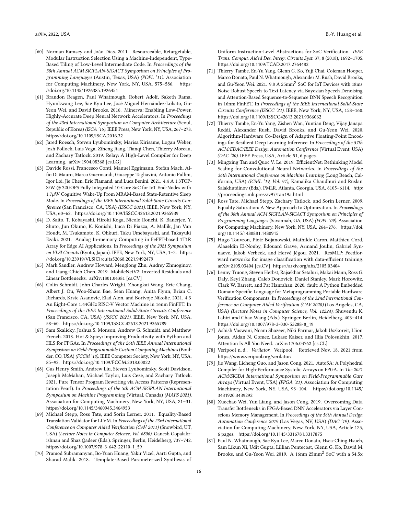- <span id="page-15-20"></span>[60] Norman Ramsey and João Dias. 2011. Resourceable, Retargetable, Modular Instruction Selection Using a Machine-Independent, Type-Based Tiling of Low-Level Intermediate Code. In Proceedings of the 38th Annual ACM SIGPLAN-SIGACT Symposium on Principles of Programming Languages (Austin, Texas, USA) (POPL '11). Association for Computing Machinery, New York, NY, USA, 575–586. [https:](https://doi.org/10.1145/1926385.1926451) [//doi.org/10.1145/1926385.1926451](https://doi.org/10.1145/1926385.1926451)
- <span id="page-15-0"></span>[61] Brandon Reagen, Paul Whatmough, Robert Adolf, Saketh Rama, Hyunkwang Lee, Sae Kyu Lee, José Miguel Hernández-Lobato, Gu-Yeon Wei, and David Brooks. 2016. Minerva: Enabling Low-Power, Highly-Accurate Deep Neural Network Accelerators. In Proceedings of the 43rd International Symposium on Computer Architecture (Seoul, Republic of Korea) (ISCA '16). IEEE Press, New York, NY, USA, 267–278. <https://doi.org/10.1109/ISCA.2016.32>
- <span id="page-15-13"></span>[62] Jared Roesch, Steven Lyubomirsky, Marisa Kirisame, Logan Weber, Josh Pollock, Luis Vega, Ziheng Jiang, Tianqi Chen, Thierry Moreau, and Zachary Tatlock. 2019. Relay: A High-Level Compiler for Deep Learning. arXiv[:1904.08368](https://arxiv.org/abs/1904.08368) [cs.LG]
- <span id="page-15-1"></span>[63] Davide Rossi, Francesco Conti, Manuel Eggimann, Stefan Mach, Alfio Di Mauro, Marco Guermandi, Giuseppe Tagliavini, Antonio Pullini, Igor Loi, Jie Chen, Eric Flamand, and Luca Benini. 2021. 4.4 A 1.3TOP-S/W @ 32GOPS Fully Integrated 10-Core SoC for IoT End-Nodes with  $1.7\mu$ W Cognitive Wake-Up From MRAM-Based State-Retentive Sleep Mode. In Proceedings of the IEEE International Solid-State Circuits Conference (San Francisco, CA, USA) (ISSCC 2021). IEEE, New York, NY, USA, 60–62. <https://doi.org/10.1109/ISSCC42613.2021.9365939>
- <span id="page-15-2"></span>[64] D. Saito, T. Kobayashi, Hiroki Koga, Nicolo Ronchi, K. Banerjee, Y. Shuto, Jun Okuno, K. Konishi, Luca Di Piazza, A. Mallik, Jan Van Houdt, M. Tsukamoto, K. Ohkuri, Taku Umebayashi, and Takayuki Ezaki. 2021. Analog In-memory Computing in FeFET-based 1T1R Array for Edge AI Applications. In Proceedings of the 2021 Symposium on VLSI Circuits (Kyoto, Japan). IEEE, New York, NY, USA, 1–2. [https:](https://doi.org/10.23919/VLSICircuits52068.2021.9492479) [//doi.org/10.23919/VLSICircuits52068.2021.9492479](https://doi.org/10.23919/VLSICircuits52068.2021.9492479)
- <span id="page-15-17"></span>[65] Mark Sandler, Andrew Howard, Menglong Zhu, Andrey Zhmoginov, and Liang-Chieh Chen. 2019. MobileNetV2: Inverted Residuals and Linear Bottlenecks. arXiv[:1801.04381](https://arxiv.org/abs/1801.04381) [cs.CV]
- <span id="page-15-3"></span>[66] Colin Schmidt, John Charles Wright, Zhongkai Wang, Eric Chang, Albert J. Ou, Woo-Rham Bae, Sean Huang, Anita Flynn, Brian C. Richards, Krste Asanovic, Elad Alon, and Borivoje Nikolic. 2021. 4.3 An Eight-Core 1.44GHz RISC-V Vector Machine in 16nm FinFET. In Proceedings of the IEEE International Solid-State Circuits Conference (San Francisco, CA, USA) (ISSCC 2021). IEEE, New York, NY, USA, 58–60. <https://doi.org/10.1109/ISSCC42613.2021.9365789>
- <span id="page-15-7"></span>[67] Sam Skalicky, Joshua S. Monson, Andrew G. Schmidt, and Matthew French. 2018. Hot & Spicy: Improving Productivity with Python and HLS for FPGAs. In Proceedings of the 26th IEEE Annual International Symposium on Field-Programmable Custom Computing Machines (Boulder, CO, USA) (FCCM '18). IEEE Computer Society, New York, NY, USA, 85–92. <https://doi.org/10.1109/FCCM.2018.00022>
- <span id="page-15-11"></span>[68] Gus Henry Smith, Andrew Liu, Steven Lyubomirsky, Scott Davidson, Joseph McMahan, Michael Taylor, Luis Ceze, and Zachary Tatlock. 2021. Pure Tensor Program Rewriting via Access Patterns (Representation Pearl). In Proceedings of the 5th ACM SIGPLAN International Symposium on Machine Programming (Virtual, Canada) (MAPS 2021). Association for Computing Machinery, New York, NY, USA, 21–31. <https://doi.org/10.1145/3460945.3464953>
- <span id="page-15-9"></span>[69] Michael Stepp, Ross Tate, and Sorin Lerner. 2011. Equality-Based Translation Validator for LLVM. In Proceedings of the 23rd International Conference on Computer Aided Verification (CAV 2011) (Snowbird, UT, USA) (Lecture Notes in Computer Science, Vol. 6806), Ganesh Gopalakrishnan and Shaz Qadeer (Eds.). Springer, Berlin, Heidelberg, 737–742. [https://doi.org/10.1007/978-3-642-22110-1\\_59](https://doi.org/10.1007/978-3-642-22110-1_59)
- <span id="page-15-14"></span>[70] Pramod Subramanyan, Bo-Yuan Huang, Yakir Vizel, Aarti Gupta, and Sharad Malik. 2018. Template-Based Parameterized Synthesis of

Uniform Instruction-Level Abstractions for SoC Verification. IEEE Trans. Comput. Aided Des. Integr. Circuits Syst. 37, 8 (2018), 1692–1705. <https://doi.org/10.1109/TCAD.2017.2764482>

- <span id="page-15-4"></span>[71] Thierry Tambe, En-Yu Yang, Glenn G. Ko, Yuji Chai, Coleman Hooper, Marco Donato, Paul N. Whatmough, Alexander M. Rush, David Brooks, and Gu-Yeon Wei. 2021. 9.8 A 25mm2 SoC for IoT Devices with 18ms Noise-Robust Speech-to-Text Latency via Bayesian Speech Denoising and Attention-Based Sequence-to-Sequence DNN Speech Recognition in 16nm FinFET. In Proceedings of the IEEE International Solid-State Circuits Conference (ISSCC '21). IEEE, New York, NY, USA, 158–160. <https://doi.org/10.1109/ISSCC42613.2021.9366062>
- <span id="page-15-15"></span>[72] Thierry Tambe, En-Yu Yang, Zishen Wan, Yuntian Deng, Vijay Janapa Reddi, Alexander Rush, David Brooks, and Gu-Yeon Wei. 2020. Algorithm-Hardware Co-Design of Adaptive Floating-Point Encodings for Resilient Deep Learning Inference. In Proceedings of the 57th ACM/EDAC/IEEE Design Automation Conference (Virtual Event, USA) (DAC '20). IEEE Press, USA, Article 51, 6 pages.
- <span id="page-15-16"></span>[73] Mingxing Tan and Quoc V. Le. 2019. EfficientNet: Rethinking Model Scaling for Convolutional Neural Networks. In Proceedings of the 36th International Conference on Machine Learning (Long Beach, California, USA) (ICML '19, Vol. 97), Kamalika Chaudhuri and Ruslan Salakhutdinov (Eds.). PMLR, Atlanta, Georgia, USA, 6105–6114. [http:](http://proceedings.mlr.press/v97/tan19a.html) [//proceedings.mlr.press/v97/tan19a.html](http://proceedings.mlr.press/v97/tan19a.html)
- <span id="page-15-10"></span>[74] Ross Tate, Michael Stepp, Zachary Tatlock, and Sorin Lerner. 2009. Equality Saturation: A New Approach to Optimization. In Proceedings of the 36th Annual ACM SIGPLAN-SIGACT Symposium on Principles of Programming Languages (Savannah, GA, USA) (POPL '09). Association for Computing Machinery, New York, NY, USA, 264–276. [https://doi.](https://doi.org/10.1145/1480881.1480915) [org/10.1145/1480881.1480915](https://doi.org/10.1145/1480881.1480915)
- <span id="page-15-18"></span>[75] Hugo Touvron, Piotr Bojanowski, Mathilde Caron, Matthieu Cord, Alaaeldin El-Nouby, Edouard Grave, Armand Joulin, Gabriel Synnaeve, Jakob Verbeek, and Hervé Jégou. 2021. ResMLP: Feedforward networks for image classification with data-efficient training. arXiv[:2105.03404](https://arxiv.org/abs/2105.03404) [cs.CV] <https://arxiv.org/abs/2105.03404>
- <span id="page-15-19"></span>[76] Lenny Truong, Steven Herbst, Rajsekhar Setaluri, Makai Mann, Ross G. Daly, Keyi Zhang, Caleb Donovick, Daniel Stanley, Mark Horowitz, Clark W. Barrett, and Pat Hanrahan. 2020. fault: A Python Embedded Domain-Specific Language for Metaprogramming Portable Hardware Verification Components. In Proceedings of the 32nd International Conference on Computer Aided Verification (CAV 2020) (Los Angeles, CA, USA) (Lecture Notes in Computer Science, Vol. 12224), Shuvendu K. Lahiri and Chao Wang (Eds.). Springer, Berlin, Heidelberg, 403–414. [https://doi.org/10.1007/978-3-030-53288-8\\_19](https://doi.org/10.1007/978-3-030-53288-8_19)
- <span id="page-15-12"></span>[77] Ashish Vaswani, Noam Shazeer, Niki Parmar, Jakob Uszkoreit, Llion Jones, Aidan N. Gomez, Lukasz Kaiser, and Illia Polosukhin. 2017. Attention Is All You Need. arXiv[:1706.03762](https://arxiv.org/abs/1706.03762) [cs.CL]
- <span id="page-15-21"></span>[78] Veripool n.d.. Verilator. Veripool. Retrieved Nov. 18, 2021 from <https://www.veripool.org/verilator/>
- <span id="page-15-8"></span>[79] Jie Wang, Licheng Guo, and Jason Cong. 2021. AutoSA: A Polyhedral Compiler for High-Performance Systolic Arrays on FPGA. In The 2021 ACM/SIGDA International Symposium on Field-Programmable Gate Arrays (Virtual Event, USA) (FPGA '21). Association for Computing Machinery, New York, NY, USA, 93–104. [https://doi.org/10.1145/](https://doi.org/10.1145/3431920.3439292) [3431920.3439292](https://doi.org/10.1145/3431920.3439292)
- <span id="page-15-5"></span>[80] Xuechao Wei, Yun Liang, and Jason Cong. 2019. Overcoming Data Transfer Bottlenecks in FPGA-Based DNN Accelerators via Layer Conscious Memory Management. In Proceedings of the 56th Annual Design Automation Conference 2019 (Las Vegas, NV, USA) (DAC '19). Association for Computing Machinery, New York, NY, USA, Article 125, 6 pages. <https://doi.org/10.1145/3316781.3317875>
- <span id="page-15-6"></span>[81] Paul N. Whatmough, Sae Kyu Lee, Marco Donato, Hsea-Ching Hsueh, Sam Likun Xi, Udit Gupta, Lillian Pentecost, Glenn G. Ko, David M. Brooks, and Gu-Yeon Wei. 2019. A 16nm 25mm2 SoC with a 54.5x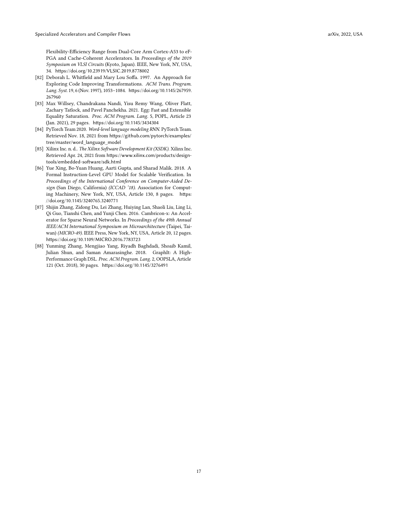Flexibility-Efficiency Range from Dual-Core Arm Cortex-A53 to eF-PGA and Cache-Coherent Accelerators. In Proceedings of the 2019 Symposium on VLSI Circuits (Kyoto, Japan). IEEE, New York, NY, USA, 34. <https://doi.org/10.23919/VLSIC.2019.8778002>

- <span id="page-16-4"></span>[82] Deborah L. Whitfield and Mary Lou Soffa. 1997. An Approach for Exploring Code Improving Transformations. ACM Trans. Program. Lang. Syst. 19, 6 (Nov. 1997), 1053–1084. [https://doi.org/10.1145/267959.](https://doi.org/10.1145/267959.267960) [267960](https://doi.org/10.1145/267959.267960)
- <span id="page-16-2"></span>[83] Max Willsey, Chandrakana Nandi, Yisu Remy Wang, Oliver Flatt, Zachary Tatlock, and Pavel Panchekha. 2021. Egg: Fast and Extensible Equality Saturation. Proc. ACM Program. Lang. 5, POPL, Article 23 (Jan. 2021), 29 pages. <https://doi.org/10.1145/3434304>
- <span id="page-16-5"></span>[84] PyTorch Team 2020. Word-level language modeling RNN. PyTorch Team. Retrieved Nov. 18, 2021 from [https://github.com/pytorch/examples/](https://github.com/pytorch/examples/tree/master/word_language_model) [tree/master/word\\_language\\_model](https://github.com/pytorch/examples/tree/master/word_language_model)
- <span id="page-16-6"></span>[85] Xilinx Inc. n. d.. The Xilinx Software Development Kit (XSDK). Xilinx Inc. Retrieved Apr. 24, 2021 from [https://www.xilinx.com/products/design](https://www.xilinx.com/products/design-tools/embedded-software/sdk.html)[tools/embedded-software/sdk.html](https://www.xilinx.com/products/design-tools/embedded-software/sdk.html)
- <span id="page-16-3"></span>[86] Yue Xing, Bo-Yuan Huang, Aarti Gupta, and Sharad Malik. 2018. A Formal Instruction-Level GPU Model for Scalable Verification. In Proceedings of the International Conference on Computer-Aided Design (San Diego, California) (ICCAD '18). Association for Computing Machinery, New York, NY, USA, Article 130, 8 pages. [https:](https://doi.org/10.1145/3240765.3240771) [//doi.org/10.1145/3240765.3240771](https://doi.org/10.1145/3240765.3240771)
- <span id="page-16-0"></span>[87] Shijin Zhang, Zidong Du, Lei Zhang, Huiying Lan, Shaoli Liu, Ling Li, Qi Guo, Tianshi Chen, and Yunji Chen. 2016. Cambricon-x: An Accelerator for Sparse Neural Networks. In Proceedings of the 49th Annual IEEE/ACM International Symposium on Microarchitecture (Taipei, Taiwan) (MICRO-49). IEEE Press, New York, NY, USA, Article 20, 12 pages. <https://doi.org/10.1109/MICRO.2016.7783723>
- <span id="page-16-1"></span>[88] Yunming Zhang, Mengjiao Yang, Riyadh Baghdadi, Shoaib Kamil, Julian Shun, and Saman Amarasinghe. 2018. GraphIt: A High-Performance Graph DSL. Proc. ACM Program. Lang. 2, OOPSLA, Article 121 (Oct. 2018), 30 pages. <https://doi.org/10.1145/3276491>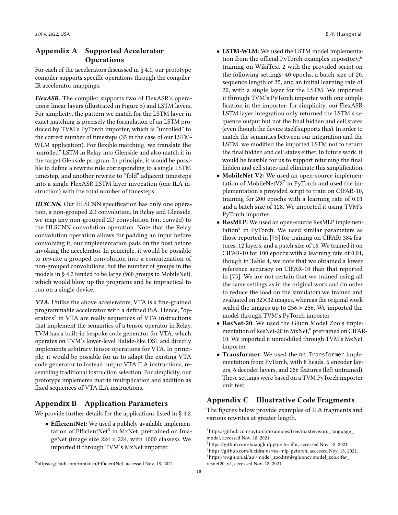# <span id="page-17-1"></span>Appendix A Supported Accelerator **Operations**

For each of the accelerators discussed in § [4.1,](#page-6-2) our prototype compiler supports specific operations through the compiler-IR accelerator mappings.

FlexASR. The compiler supports two of FlexASR's operations: linear layers (illustrated in Figure [5\)](#page-18-0) and LSTM layers. For simplicity, the pattern we match for the LSTM layer in exact matching is precisely the formulation of an LSTM produced by TVM's PyTorch importer, which is "unrolled" to the correct number of timesteps (35 in the case of our LSTM-WLM application). For flexible matching, we translate the "unrolled" LSTM in Relay into Glenside and also match it in the target Glenside program. In principle, it would be possible to define a rewrite rule corresponding to a single LSTM timestep, and another rewrite to "fold" adjacent timesteps into a single FlexASR LSTM layer invocation (one ILA instruction) with the total number of timesteps.

HLSCNN. Our HLSCNN specification has only one operation, a non-grouped 2D convolution. In Relay and Glenside, we map any non-grouped 2D convolution (nn.conv2d) to the HLSCNN convolution operation. Note that the Relay convolution operation allows for padding an input before convolving it; our implementation pads on the host before invoking the accelerator. In principle, it would be possible to rewrite a grouped convolution into a concatenation of non-grouped convolutions, but the number of groups in the models in § [4.2](#page-7-2) tended to be large (960 groups in MobileNet), which would blow up the programs and be impractical to run on a single device.

VTA. Unlike the above accelerators, VTA is a fine-grained programmable accelerator with a defined ISA. Hence, "operators" in VTA are really sequences of VTA instructions that implement the semantics of a tensor operator in Relay. TVM has a built-in bespoke code generator for VTA, which operates on TVM's lower-level Halide-like DSL and directly implements arbitrary tensor operations for VTA. In principle, it would be possible for us to adapt the existing VTA code generator to instead output VTA ILA instructions, resembling traditional instruction selection. For simplicity, our prototype implements matrix multiplication and addition as fixed sequences of VTA ILA instructions.

# <span id="page-17-2"></span>Appendix B Application Parameters

We provide further details for the applications listed in § [4.2.](#page-7-2)

• EfficientNet: We used a publicly available implemen-tation of EfficientNet<sup>[5](#page-17-3)</sup> in MxNet, pretrained on ImageNet (image size  $224 \times 224$ , with 1000 classes). We imported it through TVM's MxNet importer.

18

- LSTM-WLM: We used the LSTM model implementa-tion from the official PyTorch examples repository,<sup>[6](#page-17-4)</sup> training on WikiText-2 with the provided script on the following settings: 40 epochs, a batch size of 20, sequence length of 35, and an initial learning rate of 20, with a single layer for the LSTM. We imported it through TVM's PyTorch importer with one simplification in the importer: for simplicity, our FlexASR LSTM layer integration only returned the LSTM's sequence output but not the final hidden and cell states (even though the device itself supports this). In order to match the semantics between our integration and the LSTM, we modified the imported LSTM not to return the final hidden and cell states either. In future work, it would be feasible for us to support returning the final hidden and cell states and eliminate this simplification.
- MobileNet V2: We used an open-source implementation of MobileNetV2 $7$  in PyTorch and used the implementation's provided script to train on CIFAR-10, training for 200 epochs with a learning rate of 0.01 and a batch size of 128. We imported it using TVM's PyTorch importer.
- ResMLP: We used an open-source ResMLP implemen-tation<sup>[8](#page-17-6)</sup> in PyTorch. We used similar parameters as those reported in [\[75\]](#page-15-18) for training on CIFAR: 384 features, 12 layers, and a patch size of 16. We trained it on CIFAR-10 for 100 epochs with a learning rate of 0.01, though in Table [4,](#page-10-1) we note that we obtained a lower reference accuracy on CIFAR-10 than that reported in [\[75\]](#page-15-18). We are not certain that we trained using all the same settings as in the original work and (in order to reduce the load on the simulator) we trained and evaluated on 32×32 images, whereas the original work scaled the images up to  $256 \times 256$ . We imported the model through TVM's PyTorch importer.
- ResNet-20: We used the Gluon Model Zoo's imple-mentation of ResNet-20 in MxNet,<sup>[9](#page-17-7)</sup> pretrained on CIFAR-10. We imported it unmodified through TVM's MxNet importer.
- Transformer: We used the nn.Transformer implementation from PyTorch, with 8 heads, 6 encoder layers, 6 decoder layers, and 256 features (left untrained). These settings were based on a TVM PyTorch importer unit test.

# <span id="page-17-0"></span>Appendix C Illustrative Code Fragments

The figures below provide examples of ILA fragments and various rewrites at greater length.

<span id="page-17-3"></span><sup>5</sup><https://github.com/mnikitin/EfficientNet>, accessed Nov. 18, 2021.

<span id="page-17-4"></span> $^6$ [https://github.com/pytorch/examples/tree/master/word\\_language\\_](https://github.com/pytorch/examples/tree/master/word_language_model) [model](https://github.com/pytorch/examples/tree/master/word_language_model), accessed Nov. 18, 2021.

<span id="page-17-7"></span><span id="page-17-6"></span><span id="page-17-5"></span><sup>7</sup><https://github.com/kuangliu/pytorch-cifar>, accessed Nov. 18, 2021. <sup>8</sup><https://github.com/lucidrains/res-mlp-pytorch>, accessed Nov. 18, 2021.  $9$ [https://cv.gluon.ai/api/model\\_zoo.html#gluoncv.model\\_zoo.cifar\\_](https://cv.gluon.ai/api/model_zoo.html#gluoncv.model_zoo.cifar_resnet20_v1) [resnet20\\_v1](https://cv.gluon.ai/api/model_zoo.html#gluoncv.model_zoo.cifar_resnet20_v1), accessed Nov. 18, 2021.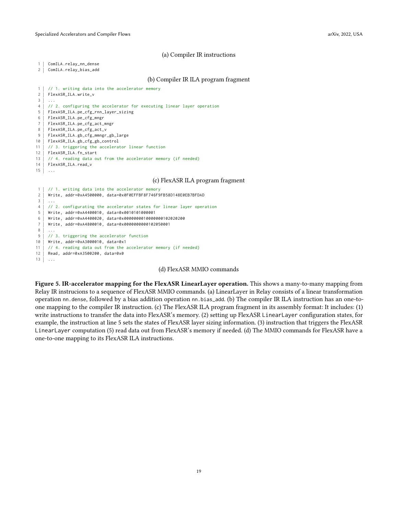#### (a) Compiler IR instructions

<span id="page-18-0"></span>1 ComILA.relay\_nn\_dense

2 | ComILA.relay\_bias\_add

#### (b) Compiler IR ILA program fragment

```
1 | // 1. writing data into the accelerator memory
2 FlexASR_ILA.write_v
3 ...
4 // 2. configuring the accelerator for executing linear layer operation
5 FlexASR_ILA.pe_cfg_rnn_layer_sizing
6 FlexASR_ILA.pe_cfg_mngr
7 FlexASR_ILA.pe_cfg_act_mngr
8 FlexASR_ILA.pe_cfg_act_v
9 FlexASR_ILA.gb_cfg_mmngr_gb_large
10 FlexASR_ILA.gb_cfg_gb_control
11 | // 3. triggering the accelerator linear function
12 FlexASR_ILA.fn_start
13 \vert // 4. reading data out from the accelerator memory (if needed)
14 FlexASR_ILA.read_v
15 \ldots
```
#### (c) FlexASR ILA program fragment

```
1 | // 1. writing data into the accelerator memory
2 Write, addr=0xA4500000, data=0x0F0EFFBF8F746F9FB58D148E0EB7BFDAD
3<sup>1</sup>4 | // 2. configurating the accelerator states for linear layer operation
5 Write, addr=0xA4400010, data=0x0010101000001
6 Write, addr=0xA4400020, data=0x0000000010000000102020200
7 Write, addr=0xA4800010, data=0x0000000000102050001
8 ...
9 | // 3. triggering the accelerator function
10 Write, addr=0xA3000010, data=0x1
11 | // 4. reading data out from the accelerator memory (if needed)
12 Read, addr=0xA3500200, data=0x0
13 ...
```
#### (d) FlexASR MMIO commands

Figure 5. IR-accelerator mapping for the FlexASR LinearLayer operation. This shows a many-to-many mapping from Relay IR instrucions to a sequence of FlexASR MMIO commands. (a) LinearLayer in Relay consists of a linear transformation operation nn.dense, followed by a bias addition operation nn.bias\_add. (b) The compiler IR ILA instruction has an one-toone mapping to the compiler IR instruction. (c) The FlexASR ILA program fragment in its assembly format: It includes: (1) write instructions to transfer the data into FlexASR's memory. (2) setting up FlexASR LinearLayer configuration states, for example, the instruction at line 5 sets the states of FlexASR layer sizing information. (3) instruction that triggers the FlexASR LinearLayer computation (5) read data out from FlexASR's memory if needed. (d) The MMIO commands for FlexASR have a one-to-one mapping to its FlexASR ILA instructions.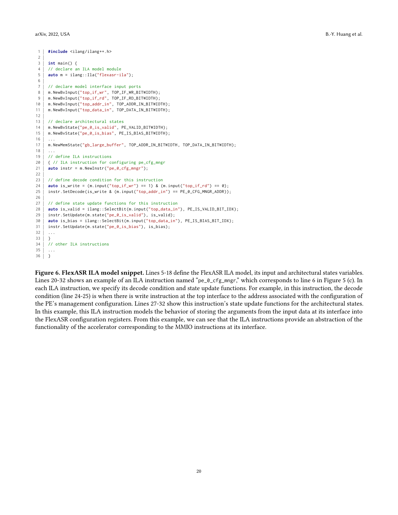```
1 #include <ilang/ilang++.h>
2
 3 int main() {
 4 // declare an ILA model module
 5 auto m = ilang::Ila("flexasr-ila");
 6
 7 // declare model interface input ports
 8 | m.NewBvInput("top_if_wr", TOP_IF_WR_BITWIDTH);
 9 m.NewBvInput("top_if_rd", TOP_IF_RD_BITWIDTH);
10 m.NewBvInput("top_addr_in", TOP_ADDR_IN_BITWIDTH);
11 m.NewBvInput("top_data_in", TOP_DATA_IN_BITWIDTH);
12
13 // declare architectural states
14 | m.NewBvState("pe_0_is_valid", PE_VALID_BITWIDTH);
15 | m.NewBvState("pe_0_is_bias", PE_IS_BIAS_BITWIDTH);
16
17 | m.NewMemState("gb_large_buffer", TOP_ADDR_IN_BITWIDTH, TOP_DATA_IN_BITWIDTH);
18
19 | // define ILA instructions
20 { // ILA instruction for configuring pe_cfg_mngr
21 auto instr = m. NewInstr("pe_0_cfg_mngr");
22
23 | // define decode condition for this instruction
24 auto is_write = (m.\text{input}("top_i f_{WT}) == 1) & (m.\text{input}("top_i f_{Td}") == 0);
25 | instr.SetDecode(is_write & (m.\text{input("top\_addr\_in") == PE\_0_CFG\_MNGR\_ADDR)};
26
27 // define state update functions for this instruction
28 auto is_valid = ilang::SelectBit(m.input("top_data_in"), PE_IS_VALID_BIT_IDX);
29 | instr.SetUpdate(m.state("pe_0_is_valid"), is_valid);
30 auto is_bias = ilang::SelectBit(m.input("top_data_in"), PE_IS_BIAS_BIT_IDX);
31 | instr.SetUpdate(m.state("pe_0_is_bias"), is_bias);
32<sup>2</sup>33 }
34 // other ILA instructions
35 ...
36 }
```
Figure 6. FlexASR ILA model snippet. Lines 5-18 define the FlexASR ILA model, its input and architectural states variables. Lines 20-32 shows an example of an ILA instruction named "pe\_0\_cfg\_mngr," which corresponds to line 6 in Figure [5](#page-18-0) (c). In each ILA instruction, we specify its decode condition and state update functions. For example, in this instruction, the decode condition (line 24-25) is when there is write instruction at the top interface to the address associated with the configuration of the PE's management configuration. Lines 27-32 show this instruction's state update functions for the architectural states. In this example, this ILA instruction models the behavior of storing the arguments from the input data at its interface into the FlexASR configuration registers. From this example, we can see that the ILA instructions provide an abstraction of the functionality of the accelerator corresponding to the MMIO instructions at its interface.